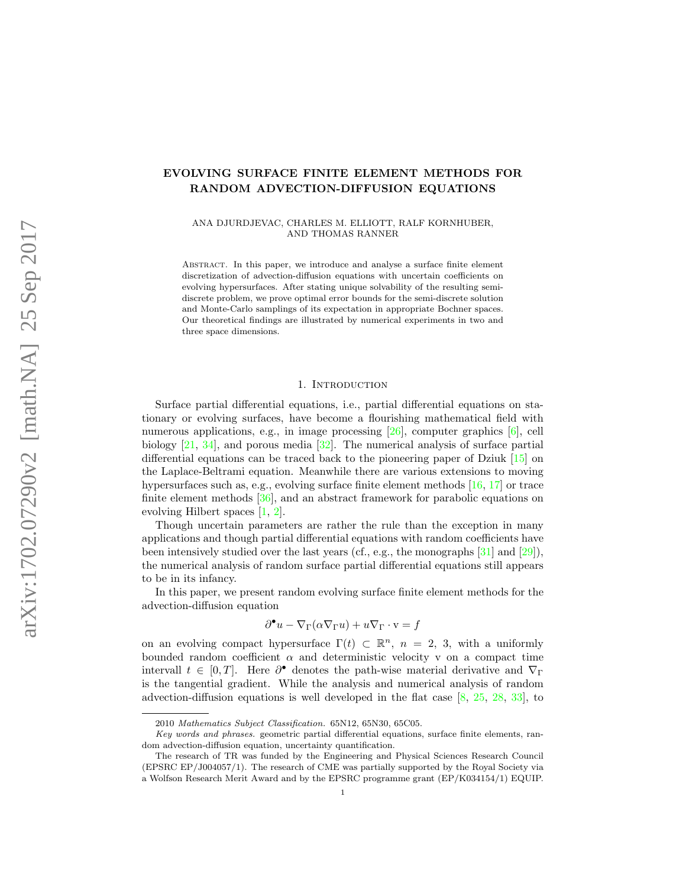# EVOLVING SURFACE FINITE ELEMENT METHODS FOR RANDOM ADVECTION-DIFFUSION EQUATIONS

ANA DJURDJEVAC, CHARLES M. ELLIOTT, RALF KORNHUBER, AND THOMAS RANNER

Abstract. In this paper, we introduce and analyse a surface finite element discretization of advection-diffusion equations with uncertain coefficients on evolving hypersurfaces. After stating unique solvability of the resulting semidiscrete problem, we prove optimal error bounds for the semi-discrete solution and Monte-Carlo samplings of its expectation in appropriate Bochner spaces. Our theoretical findings are illustrated by numerical experiments in two and three space dimensions.

#### 1. INTRODUCTION

Surface partial differential equations, i.e., partial differential equations on stationary or evolving surfaces, have become a flourishing mathematical field with numerous applications, e.g., in image processing [\[26\]](#page-23-0), computer graphics [\[6\]](#page-22-0), cell biology [\[21,](#page-23-1) [34\]](#page-24-0), and porous media [\[32\]](#page-24-1). The numerical analysis of surface partial differential equations can be traced back to the pioneering paper of Dziuk  $[15]$  on the Laplace-Beltrami equation. Meanwhile there are various extensions to moving hypersurfaces such as, e.g., evolving surface finite element methods [\[16,](#page-23-3) [17\]](#page-23-4) or trace finite element methods [\[36\]](#page-24-2), and an abstract framework for parabolic equations on evolving Hilbert spaces [\[1,](#page-22-1) [2\]](#page-22-2).

Though uncertain parameters are rather the rule than the exception in many applications and though partial differential equations with random coefficients have been intensively studied over the last years (cf., e.g., the monographs  $[31]$  and  $[29]$ ), the numerical analysis of random surface partial differential equations still appears to be in its infancy.

In this paper, we present random evolving surface finite element methods for the advection-diffusion equation

$$
\partial^{\bullet} u - \nabla_{\Gamma} (\alpha \nabla_{\Gamma} u) + u \nabla_{\Gamma} \cdot \mathbf{v} = f
$$

on an evolving compact hypersurface  $\Gamma(t) \subset \mathbb{R}^n$ ,  $n = 2, 3$ , with a uniformly bounded random coefficient  $\alpha$  and deterministic velocity v on a compact time intervall  $t \in [0, T]$ . Here  $\partial^{\bullet}$  denotes the path-wise material derivative and  $\nabla_{\Gamma}$ is the tangential gradient. While the analysis and numerical analysis of random advection-diffusion equations is well developed in the flat case [\[8,](#page-22-3) [25,](#page-23-6) [28,](#page-23-7) [33\]](#page-24-4), to

<sup>2010</sup> Mathematics Subject Classification. 65N12, 65N30, 65C05.

Key words and phrases. geometric partial differential equations, surface finite elements, random advection-diffusion equation, uncertainty quantification.

The research of TR was funded by the Engineering and Physical Sciences Research Council (EPSRC EP/J004057/1). The research of CME was partially supported by the Royal Society via a Wolfson Research Merit Award and by the EPSRC programme grant (EP/K034154/1) EQUIP.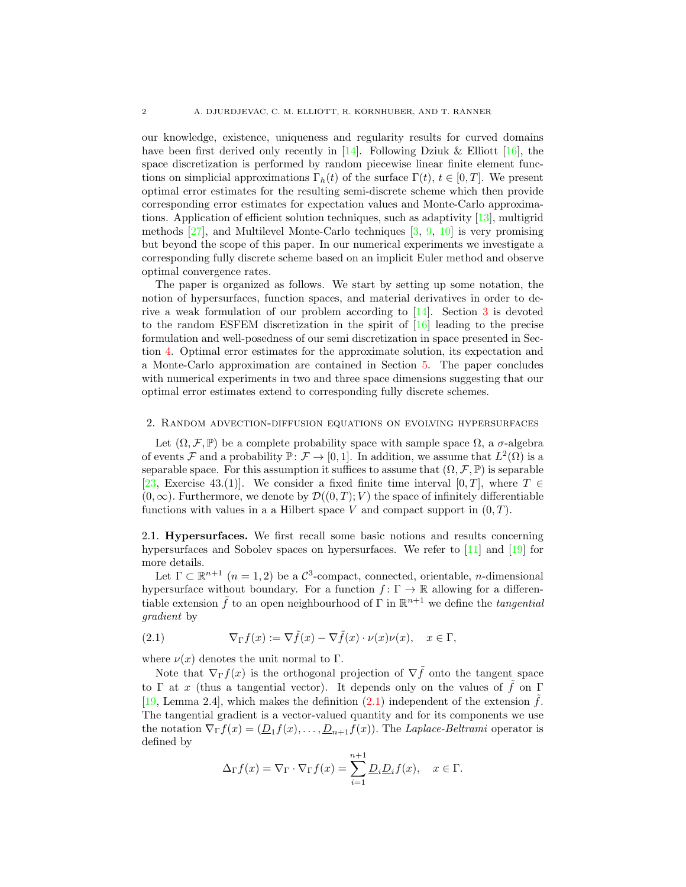our knowledge, existence, uniqueness and regularity results for curved domains have been first derived only recently in  $[14]$ . Following Dziuk & Elliott [\[16\]](#page-23-3), the space discretization is performed by random piecewise linear finite element functions on simplicial approximations  $\Gamma_h(t)$  of the surface  $\Gamma(t)$ ,  $t \in [0, T]$ . We present optimal error estimates for the resulting semi-discrete scheme which then provide corresponding error estimates for expectation values and Monte-Carlo approximations. Application of efficient solution techniques, such as adaptivity [\[13\]](#page-22-4), multigrid methods [\[27\]](#page-23-9), and Multilevel Monte-Carlo techniques [\[3,](#page-22-5) [9,](#page-22-6) [10\]](#page-22-7) is very promising but beyond the scope of this paper. In our numerical experiments we investigate a corresponding fully discrete scheme based on an implicit Euler method and observe optimal convergence rates.

The paper is organized as follows. We start by setting up some notation, the notion of hypersurfaces, function spaces, and material derivatives in order to derive a weak formulation of our problem according to [\[14\]](#page-23-8). Section [3](#page-6-0) is devoted to the random ESFEM discretization in the spirit of [\[16\]](#page-23-3) leading to the precise formulation and well-posedness of our semi discretization in space presented in Section [4.](#page-8-0) Optimal error estimates for the approximate solution, its expectation and a Monte-Carlo approximation are contained in Section [5.](#page-12-0) The paper concludes with numerical experiments in two and three space dimensions suggesting that our optimal error estimates extend to corresponding fully discrete schemes.

# 2. Random advection-diffusion equations on evolving hypersurfaces

Let  $(\Omega, \mathcal{F}, \mathbb{P})$  be a complete probability space with sample space  $\Omega$ , a  $\sigma$ -algebra of events F and a probability  $\mathbb{P} \colon \mathcal{F} \to [0,1]$ . In addition, we assume that  $L^2(\Omega)$  is a separable space. For this assumption it suffices to assume that  $(\Omega, \mathcal{F}, \mathbb{P})$  is separable [\[23,](#page-23-10) Exercise 43.(1)]. We consider a fixed finite time interval [0, T], where  $T \in$  $(0, \infty)$ . Furthermore, we denote by  $\mathcal{D}((0,T); V)$  the space of infinitely differentiable functions with values in a a Hilbert space V and compact support in  $(0, T)$ .

2.1. Hypersurfaces. We first recall some basic notions and results concerning hypersurfaces and Sobolev spaces on hypersurfaces. We refer to [\[11\]](#page-22-8) and [\[19\]](#page-23-11) for more details.

Let  $\Gamma \subset \mathbb{R}^{n+1}$   $(n = 1, 2)$  be a  $\mathcal{C}^3$ -compact, connected, orientable, *n*-dimensional hypersurface without boundary. For a function  $f: \Gamma \to \mathbb{R}$  allowing for a differentiable extension  $\tilde{f}$  to an open neighbourhood of  $\Gamma$  in  $\mathbb{R}^{n+1}$  we define the *tangential* gradient by

<span id="page-1-0"></span>(2.1) 
$$
\nabla_{\Gamma} f(x) := \nabla \tilde{f}(x) - \nabla \tilde{f}(x) \cdot \nu(x) \nu(x), \quad x \in \Gamma,
$$

where  $\nu(x)$  denotes the unit normal to  $\Gamma$ .

Note that  $\nabla_{\Gamma} f(x)$  is the orthogonal projection of  $\nabla \tilde{f}$  onto the tangent space to Γ at x (thus a tangential vector). It depends only on the values of  $\tilde{f}$  on Γ [\[19,](#page-23-11) Lemma 2.4], which makes the definition [\(2.1\)](#page-1-0) independent of the extension  $\hat{f}$ . The tangential gradient is a vector-valued quantity and for its components we use the notation  $\nabla_{\Gamma} f(x) = (\underline{D}_1 f(x), \dots, \underline{D}_{n+1} f(x))$ . The *Laplace-Beltrami* operator is defined by

$$
\Delta_{\Gamma} f(x) = \nabla_{\Gamma} \cdot \nabla_{\Gamma} f(x) = \sum_{i=1}^{n+1} \underline{D}_i \underline{D}_i f(x), \quad x \in \Gamma.
$$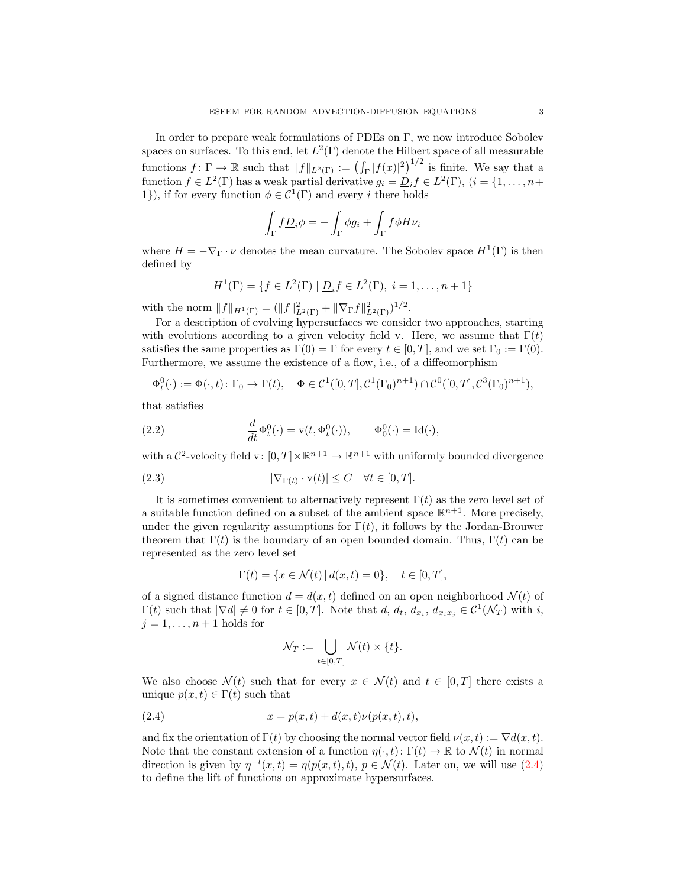In order to prepare weak formulations of PDEs on Γ, we now introduce Sobolev spaces on surfaces. To this end, let  $L^2(\Gamma)$  denote the Hilbert space of all measurable functions  $f: \Gamma \to \mathbb{R}$  such that  $||f||_{L^2(\Gamma)} := (\int_{\Gamma} |f(x)|^2)^{1/2}$  is finite. We say that a function  $f \in L^2(\Gamma)$  has a weak partial derivative  $g_i = \underline{D}_i f \in L^2(\Gamma)$ ,  $(i = \{1, ..., n+\}$ 1}), if for every function  $\phi \in C^1(\Gamma)$  and every *i* there holds

$$
\int_{\Gamma} f \underline{D}_i \phi = - \int_{\Gamma} \phi g_i + \int_{\Gamma} f \phi H \nu_i
$$

where  $H = -\nabla_{\Gamma} \cdot \nu$  denotes the mean curvature. The Sobolev space  $H^1(\Gamma)$  is then defined by

$$
H^{1}(\Gamma) = \{ f \in L^{2}(\Gamma) \mid \underline{D}_{i} f \in L^{2}(\Gamma), i = 1, ..., n + 1 \}
$$

with the norm  $||f||_{H^1(\Gamma)} = (||f||^2_{L^2(\Gamma)} + ||\nabla_{\Gamma} f||^2_{L^2(\Gamma)})^{1/2}$ .

For a description of evolving hypersurfaces we consider two approaches, starting with evolutions according to a given velocity field v. Here, we assume that  $\Gamma(t)$ satisfies the same properties as  $\Gamma(0) = \Gamma$  for every  $t \in [0, T]$ , and we set  $\Gamma_0 := \Gamma(0)$ . Furthermore, we assume the existence of a flow, i.e., of a diffeomorphism

$$
\Phi_t^0(\cdot) := \Phi(\cdot, t) \colon \Gamma_0 \to \Gamma(t), \quad \Phi \in C^1([0, T], C^1(\Gamma_0)^{n+1}) \cap C^0([0, T], C^3(\Gamma_0)^{n+1}),
$$

that satisfies

(2.2) 
$$
\frac{d}{dt}\Phi_t^0(\cdot) = \mathbf{v}(t, \Phi_t^0(\cdot)), \qquad \Phi_0^0(\cdot) = \mathrm{Id}(\cdot),
$$

with a  $\mathcal{C}^2$ -velocity field v:  $[0,T] \times \mathbb{R}^{n+1} \to \mathbb{R}^{n+1}$  with uniformly bounded divergence

(2.3) 
$$
|\nabla_{\Gamma(t)} \cdot \mathbf{v}(t)| \leq C \quad \forall t \in [0, T].
$$

It is sometimes convenient to alternatively represent  $\Gamma(t)$  as the zero level set of a suitable function defined on a subset of the ambient space  $\mathbb{R}^{n+1}$ . More precisely, under the given regularity assumptions for  $\Gamma(t)$ , it follows by the Jordan-Brouwer theorem that  $\Gamma(t)$  is the boundary of an open bounded domain. Thus,  $\Gamma(t)$  can be represented as the zero level set

<span id="page-2-1"></span>
$$
\Gamma(t) = \{ x \in \mathcal{N}(t) \, | \, d(x, t) = 0 \}, \quad t \in [0, T],
$$

of a signed distance function  $d = d(x, t)$  defined on an open neighborhood  $\mathcal{N}(t)$  of  $\Gamma(t)$  such that  $|\nabla d| \neq 0$  for  $t \in [0,T]$ . Note that  $d, d_t, d_{x_i}, d_{x_ix_j} \in C^1(\mathcal{N}_T)$  with  $i$ ,  $j = 1, \ldots, n + 1$  holds for

<span id="page-2-0"></span>
$$
\mathcal{N}_T := \bigcup_{t \in [0,T]} \mathcal{N}(t) \times \{t\}.
$$

We also choose  $\mathcal{N}(t)$  such that for every  $x \in \mathcal{N}(t)$  and  $t \in [0, T]$  there exists a unique  $p(x, t) \in \Gamma(t)$  such that

(2.4) 
$$
x = p(x, t) + d(x, t)\nu(p(x, t), t),
$$

and fix the orientation of  $\Gamma(t)$  by choosing the normal vector field  $\nu(x, t) := \nabla d(x, t)$ . Note that the constant extension of a function  $\eta(\cdot,t): \Gamma(t) \to \mathbb{R}$  to  $\mathcal{N}(t)$  in normal direction is given by  $\eta^{-l}(x,t) = \eta(p(x,t),t), p \in \mathcal{N}(t)$ . Later on, we will use [\(2.4\)](#page-2-0) to define the lift of functions on approximate hypersurfaces.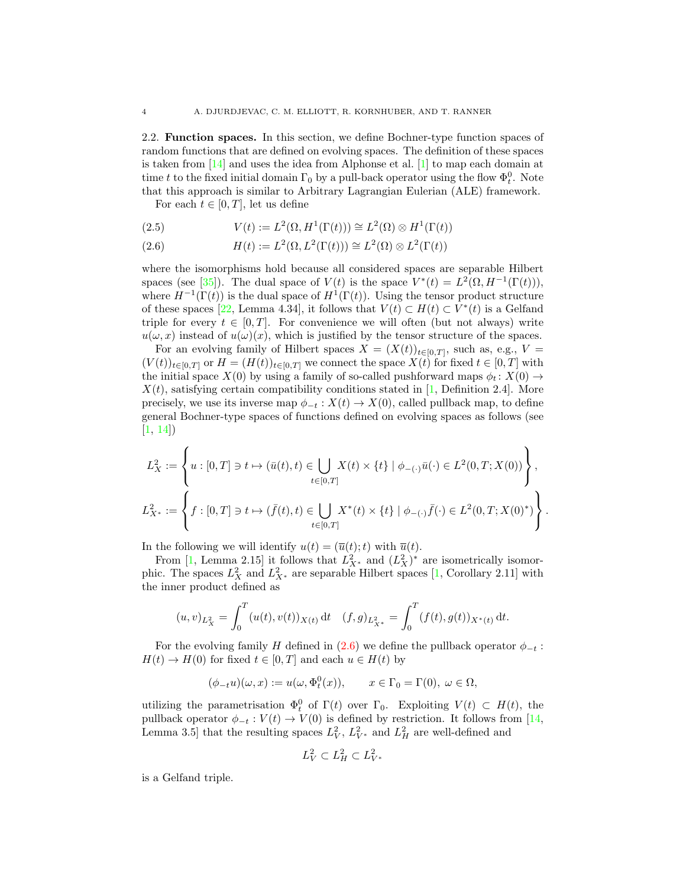2.2. Function spaces. In this section, we define Bochner-type function spaces of random functions that are defined on evolving spaces. The definition of these spaces is taken from [\[14\]](#page-23-8) and uses the idea from Alphonse et al. [\[1\]](#page-22-1) to map each domain at time t to the fixed initial domain  $\Gamma_0$  by a pull-back operator using the flow  $\Phi_t^0$ . Note that this approach is similar to Arbitrary Lagrangian Eulerian (ALE) framework.

For each  $t \in [0, T]$ , let us define

(2.5) 
$$
V(t) := L^2(\Omega, H^1(\Gamma(t))) \cong L^2(\Omega) \otimes H^1(\Gamma(t))
$$

<span id="page-3-0"></span>(2.6) 
$$
H(t) := L^2(\Omega, L^2(\Gamma(t))) \cong L^2(\Omega) \otimes L^2(\Gamma(t))
$$

where the isomorphisms hold because all considered spaces are separable Hilbert spaces (see [\[35\]](#page-24-5)). The dual space of  $V(t)$  is the space  $V^*(t) = L^2(\Omega, H^{-1}(\Gamma(t))),$ where  $H^{-1}(\Gamma(t))$  is the dual space of  $H^1(\Gamma(t))$ . Using the tensor product structure of these spaces [\[22,](#page-23-12) Lemma 4.34], it follows that  $V(t) \subset H(t) \subset V^*(t)$  is a Gelfand triple for every  $t \in [0, T]$ . For convenience we will often (but not always) write  $u(\omega, x)$  instead of  $u(\omega)(x)$ , which is justified by the tensor structure of the spaces.

For an evolving family of Hilbert spaces  $X = (X(t))_{t \in [0,T]},$  such as, e.g.,  $V =$  $(V(t))_{t\in[0,T]}$  or  $H = (H(t))_{t\in[0,T]}$  we connect the space  $X(t)$  for fixed  $t \in [0,T]$  with the initial space  $X(0)$  by using a family of so-called pushforward maps  $\phi_t : X(0) \to$  $X(t)$ , satisfying certain compatibility conditions stated in [\[1,](#page-22-1) Definition 2.4]. More precisely, we use its inverse map  $\phi_{-t}: X(t) \to X(0)$ , called pullback map, to define general Bochner-type spaces of functions defined on evolving spaces as follows (see [\[1,](#page-22-1) [14\]](#page-23-8))

$$
L_X^2 := \left\{ u : [0, T] \ni t \mapsto (\bar{u}(t), t) \in \bigcup_{t \in [0, T]} X(t) \times \{t\} \mid \phi_{-(\cdot)} \bar{u}(\cdot) \in L^2(0, T; X(0)) \right\},
$$
  

$$
L_{X^*}^2 := \left\{ f : [0, T] \ni t \mapsto (\bar{f}(t), t) \in \bigcup_{t \in [0, T]} X^*(t) \times \{t\} \mid \phi_{-(\cdot)} \bar{f}(\cdot) \in L^2(0, T; X(0)^*) \right\}
$$

.

In the following we will identify  $u(t) = (\overline{u}(t);t)$  with  $\overline{u}(t)$ .

From [\[1,](#page-22-1) Lemma 2.15] it follows that  $L_{X^*}^2$  and  $(L_X^2)^*$  are isometrically isomorphic. The spaces  $L_X^2$  and  $L_{X^*}^2$  are separable Hilbert spaces [\[1,](#page-22-1) Corollary 2.11] with the inner product defined as

$$
(u,v)_{L_X^2} = \int_0^T (u(t),v(t))_{X(t)} dt \quad (f,g)_{L_{X^*}^2} = \int_0^T (f(t),g(t))_{X^*(t)} dt.
$$

For the evolving family H defined in [\(2.6\)](#page-3-0) we define the pullback operator  $\phi_{-t}$ :  $H(t) \to H(0)$  for fixed  $t \in [0, T]$  and each  $u \in H(t)$  by

$$
(\phi_{-t}u)(\omega,x):=u(\omega,\Phi_t^0(x)),\qquad x\in\Gamma_0=\Gamma(0),\ \omega\in\Omega,
$$

utilizing the parametrisation  $\Phi_t^0$  of  $\Gamma(t)$  over  $\Gamma_0$ . Exploiting  $V(t) \subset H(t)$ , the pullback operator  $\phi_{-t}: V(t) \to V(0)$  is defined by restriction. It follows from [\[14,](#page-23-8) Lemma 3.5 that the resulting spaces  $L_V^2$ ,  $L_{V^*}^2$  and  $L_H^2$  are well-defined and

$$
L_V^2 \subset L_H^2 \subset L_{V^*}^2
$$

is a Gelfand triple.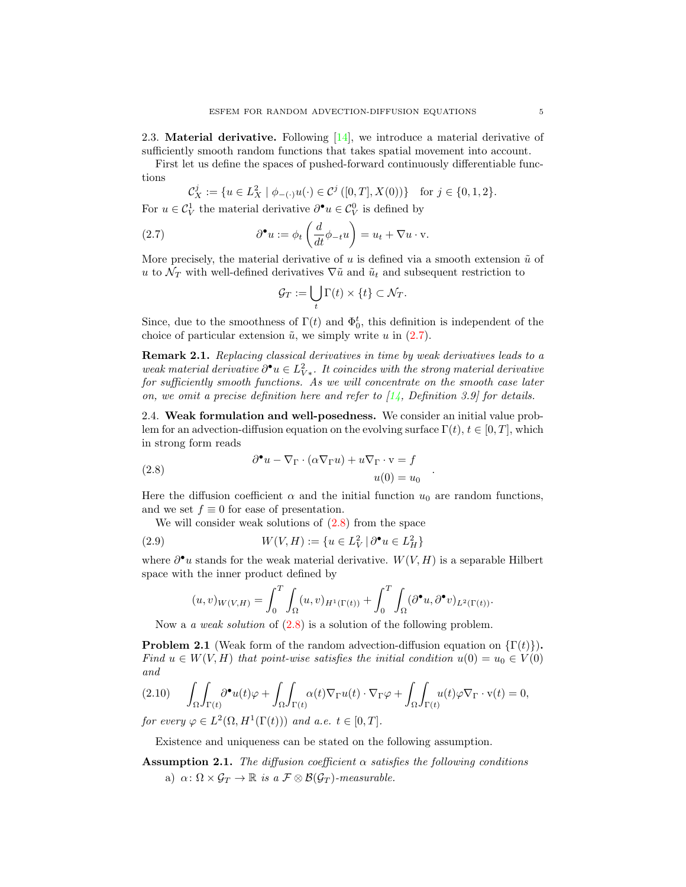2.3. Material derivative. Following  $[14]$ , we introduce a material derivative of sufficiently smooth random functions that takes spatial movement into account.

First let us define the spaces of pushed-forward continuously differentiable functions

$$
\mathcal{C}_X^j := \{ u \in L_X^2 \mid \phi_{-(\cdot)}u(\cdot) \in \mathcal{C}^j([0,T],X(0)) \} \text{ for } j \in \{0,1,2\}.
$$

For  $u \in \mathcal{C}_V^1$  the material derivative  $\partial^{\bullet} u \in \mathcal{C}_V^0$  is defined by

(2.7) 
$$
\partial^{\bullet} u := \phi_t \left( \frac{d}{dt} \phi_{-t} u \right) = u_t + \nabla u \cdot \mathbf{v}.
$$

More precisely, the material derivative of u is defined via a smooth extension  $\tilde{u}$  of u to  $\mathcal{N}_T$  with well-defined derivatives  $\nabla \tilde{u}$  and  $\tilde{u}_t$  and subsequent restriction to

<span id="page-4-0"></span>
$$
\mathcal{G}_T := \bigcup_t \Gamma(t) \times \{t\} \subset \mathcal{N}_T.
$$

Since, due to the smoothness of  $\Gamma(t)$  and  $\Phi_0^t$ , this definition is independent of the choice of particular extension  $\tilde{u}$ , we simply write u in [\(2.7\)](#page-4-0).

Remark 2.1. Replacing classical derivatives in time by weak derivatives leads to a weak material derivative  $\partial^{\bullet}u \in L^2_{V*}$ . It coincides with the strong material derivative for sufficiently smooth functions. As we will concentrate on the smooth case later on, we omit a precise definition here and refer to  $[14,$  Definition 3.9] for details.

<span id="page-4-4"></span>2.4. Weak formulation and well-posedness. We consider an initial value problem for an advection-diffusion equation on the evolving surface  $\Gamma(t)$ ,  $t \in [0, T]$ , which in strong form reads

<span id="page-4-1"></span>(2.8) 
$$
\partial^{\bullet} u - \nabla_{\Gamma} \cdot (\alpha \nabla_{\Gamma} u) + u \nabla_{\Gamma} \cdot v = f
$$

$$
u(0) = u_0
$$

Here the diffusion coefficient  $\alpha$  and the initial function  $u_0$  are random functions, and we set  $f \equiv 0$  for ease of presentation.

.

We will consider weak solutions of  $(2.8)$  from the space

(2.9) 
$$
W(V, H) := \{ u \in L_V^2 \mid \partial^{\bullet} u \in L_H^2 \}
$$

where  $\partial^{\bullet}u$  stands for the weak material derivative.  $W(V, H)$  is a separable Hilbert space with the inner product defined by

$$
(u,v)_{W(V,H)} = \int_0^T \int_{\Omega} (u,v)_{H^1(\Gamma(t))} + \int_0^T \int_{\Omega} (\partial^{\bullet} u, \partial^{\bullet} v)_{L^2(\Gamma(t))}.
$$

Now a *a weak solution* of  $(2.8)$  is a solution of the following problem.

<span id="page-4-3"></span>**Problem 2.1** (Weak form of the random advection-diffusion equation on  $\{\Gamma(t)\}\$ ). Find  $u \in W(V, H)$  that point-wise satisfies the initial condition  $u(0) = u_0 \in V(0)$ and

$$
(2.10) \qquad \int_{\Omega} \int_{\Gamma(t)} \partial^{\bullet} u(t) \varphi + \int_{\Omega} \int_{\Gamma(t)} \alpha(t) \nabla_{\Gamma} u(t) \cdot \nabla_{\Gamma} \varphi + \int_{\Omega} \int_{\Gamma(t)} u(t) \varphi \nabla_{\Gamma} \cdot \mathbf{v}(t) = 0,
$$

for every  $\varphi \in L^2(\Omega, H^1(\Gamma(t)))$  and a.e.  $t \in [0, T]$ .

Existence and uniqueness can be stated on the following assumption.

<span id="page-4-2"></span>**Assumption 2.1.** The diffusion coefficient  $\alpha$  satisfies the following conditions a)  $\alpha \colon \Omega \times \mathcal{G}_T \to \mathbb{R}$  is a  $\mathcal{F} \otimes \mathcal{B}(\mathcal{G}_T)$ -measurable.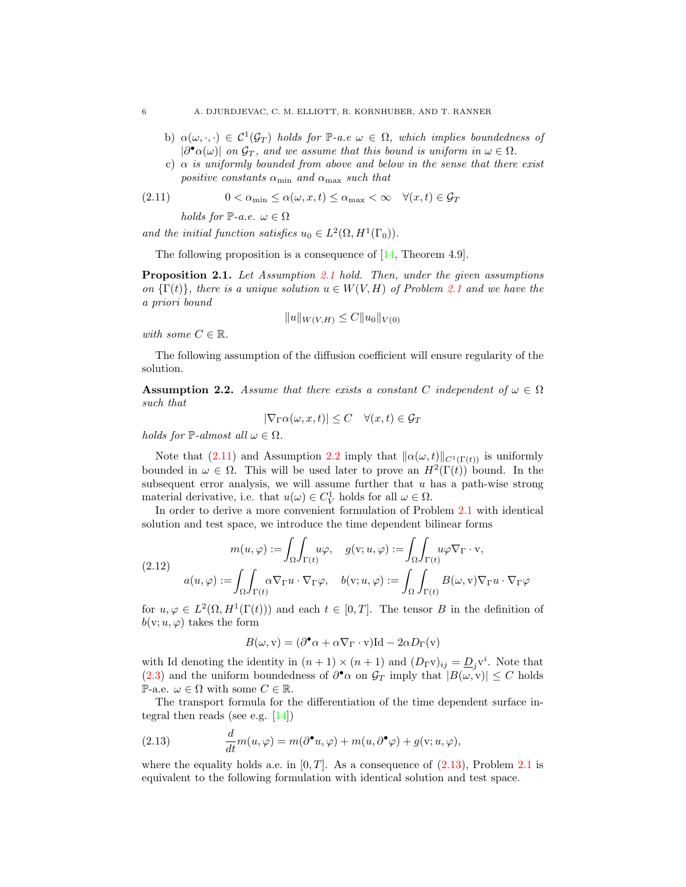- b)  $\alpha(\omega, \cdot, \cdot) \in C^1(\mathcal{G}_T)$  holds for P-a.e  $\omega \in \Omega$ , which implies boundedness of  $|\partial^{\bullet}\alpha(\omega)|$  on  $\mathcal{G}_T$ , and we assume that this bound is uniform in  $\omega \in \Omega$ .
- c)  $\alpha$  is uniformly bounded from above and below in the sense that there exist positive constants  $\alpha_{\min}$  and  $\alpha_{\max}$  such that

(2.11) 
$$
0 < \alpha_{\min} \le \alpha(\omega, x, t) \le \alpha_{\max} < \infty \quad \forall (x, t) \in \mathcal{G}_T
$$

<span id="page-5-0"></span>holds for  $\mathbb{P}\text{-}a.e.$   $\omega \in \Omega$ 

and the initial function satisfies  $u_0 \in L^2(\Omega, H^1(\Gamma_0)).$ 

The following proposition is a consequence of  $[14,$  Theorem 4.9].

Proposition [2.1](#page-4-2). Let Assumption 2.1 hold. Then, under the given assumptions on  $\{\Gamma(t)\}\$ , there is a unique solution  $u \in W(V, H)$  of Problem [2.1](#page-4-3) and we have the a priori bound

$$
||u||_{W(V,H)} \leq C||u_0||_{V(0)}
$$

with some  $C \in \mathbb{R}$ .

The following assumption of the diffusion coefficient will ensure regularity of the solution.

<span id="page-5-1"></span>**Assumption 2.2.** Assume that there exists a constant C independent of  $\omega \in \Omega$ such that

$$
|\nabla_{\Gamma}\alpha(\omega, x, t)| \le C \quad \forall (x, t) \in \mathcal{G}_T
$$

holds for  $\mathbb{P}\text{-almost all }\omega \in \Omega$ .

Note that [\(2.11\)](#page-5-0) and Assumption [2.2](#page-5-1) imply that  $\|\alpha(\omega, t)\|_{C^1(\Gamma(t))}$  is uniformly bounded in  $\omega \in \Omega$ . This will be used later to prove an  $H^2(\Gamma(t))$  bound. In the subsequent error analysis, we will assume further that  $u$  has a path-wise strong material derivative, i.e. that  $u(\omega) \in C_V^1$  holds for all  $\omega \in \Omega$ .

In order to derive a more convenient formulation of Problem [2.1](#page-4-3) with identical solution and test space, we introduce the time dependent bilinear forms

<span id="page-5-3"></span>
$$
m(u, \varphi) := \int_{\Omega} \int_{\Gamma(t)} u\varphi, \quad g(v; u, \varphi) := \int_{\Omega} \int_{\Gamma(t)} u\varphi \nabla_{\Gamma} \cdot v,
$$
  
(2.12)  

$$
a(u, \varphi) := \int_{\Omega} \int_{\Gamma(t)} \alpha \nabla_{\Gamma} u \cdot \nabla_{\Gamma} \varphi, \quad b(v; u, \varphi) := \int_{\Omega} \int_{\Gamma(t)} B(\omega, v) \nabla_{\Gamma} u \cdot \nabla_{\Gamma} \varphi
$$

for  $u, \varphi \in L^2(\Omega, H^1(\Gamma(t)))$  and each  $t \in [0, T]$ . The tensor B in the definition of  $b(v; u, \varphi)$  takes the form

$$
B(\omega, \mathbf{v}) = (\partial^{\bullet} \alpha + \alpha \nabla_{\Gamma} \cdot \mathbf{v}) \mathbf{Id} - 2\alpha D_{\Gamma}(\mathbf{v})
$$

with Id denoting the identity in  $(n+1) \times (n+1)$  and  $(D_\Gamma \mathbf{v})_{ij} = \underline{D}_j \mathbf{v}^i$ . Note that [\(2.3\)](#page-2-1) and the uniform boundedness of  $\partial^{\bullet} \alpha$  on  $\mathcal{G}_T$  imply that  $|B(\omega, v)| \leq C$  holds P-a.e.  $\omega \in \Omega$  with some  $C \in \mathbb{R}$ .

The transport formula for the differentiation of the time dependent surface integral then reads (see e.g.  $[14]$ )

<span id="page-5-2"></span>(2.13) 
$$
\frac{d}{dt}m(u,\varphi) = m(\partial^{\bullet}u,\varphi) + m(u,\partial^{\bullet}\varphi) + g(v;u,\varphi),
$$

where the equality holds a.e. in  $[0, T]$ . As a consequence of  $(2.13)$  $(2.13)$  $(2.13)$ , Problem 2.1 is equivalent to the following formulation with identical solution and test space.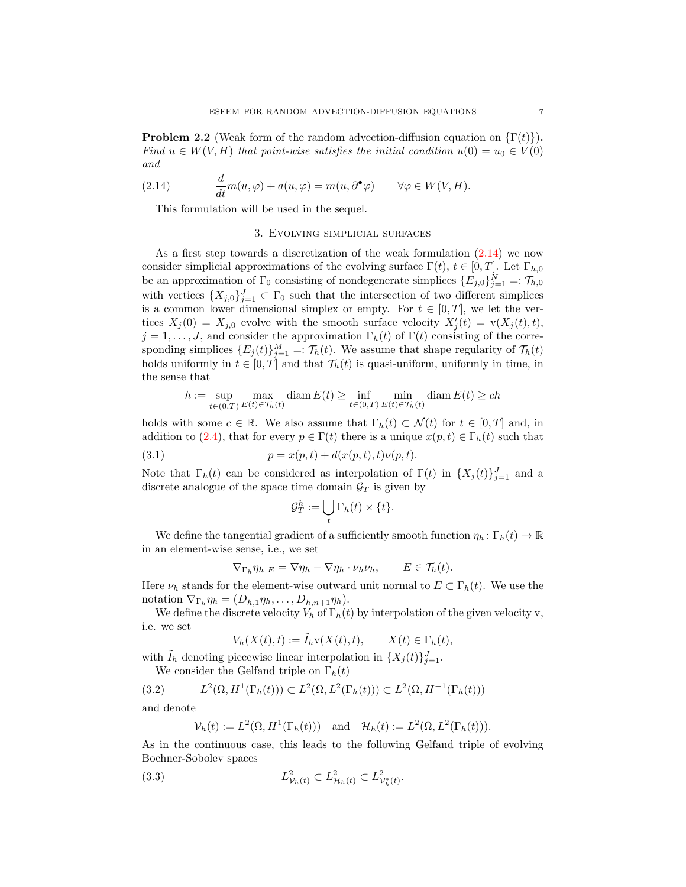<span id="page-6-2"></span>**Problem 2.2** (Weak form of the random advection-diffusion equation on  $\{\Gamma(t)\}\$ ). Find  $u \in W(V, H)$  that point-wise satisfies the initial condition  $u(0) = u_0 \in V(0)$ and

(2.14) 
$$
\frac{d}{dt}m(u,\varphi) + a(u,\varphi) = m(u,\partial^{\bullet}\varphi) \qquad \forall \varphi \in W(V,H).
$$

<span id="page-6-0"></span>This formulation will be used in the sequel.

# <span id="page-6-1"></span>3. Evolving simplicial surfaces

As a first step towards a discretization of the weak formulation  $(2.14)$  we now consider simplicial approximations of the evolving surface  $\Gamma(t)$ ,  $t \in [0, T]$ . Let  $\Gamma_{h,0}$ be an approximation of  $\Gamma_0$  consisting of nondegenerate simplices  $\{E_{j,0}\}_{j=1}^N =: \mathcal{T}_{h,0}$ with vertices  $\{X_{j,0}\}_{j=1}^J \subset \Gamma_0$  such that the intersection of two different simplices is a common lower dimensional simplex or empty. For  $t \in [0, T]$ , we let the vertices  $X_j(0) = X_{j,0}$  evolve with the smooth surface velocity  $X'_j(t) = v(X_j(t), t)$ ,  $j = 1, \ldots, J$ , and consider the approximation  $\Gamma_h(t)$  of  $\Gamma(t)$  consisting of the corresponding simplices  $\{E_j(t)\}_{j=1}^M =: \mathcal{T}_h(t)$ . We assume that shape regularity of  $\mathcal{T}_h(t)$ holds uniformly in  $t \in [0, T]$  and that  $\mathcal{T}_h(t)$  is quasi-uniform, uniformly in time, in the sense that

$$
h := \sup_{t \in (0,T)} \max_{E(t) \in \mathcal{T}_h(t)} \text{diam}\, E(t) \ge \inf_{t \in (0,T)} \min_{E(t) \in \mathcal{T}_h(t)} \text{diam}\, E(t) \ge ch
$$

holds with some  $c \in \mathbb{R}$ . We also assume that  $\Gamma_h(t) \subset \mathcal{N}(t)$  for  $t \in [0, T]$  and, in addition to [\(2.4\)](#page-2-0), that for every  $p \in \Gamma(t)$  there is a unique  $x(p, t) \in \Gamma_h(t)$  such that

(3.1) 
$$
p = x(p, t) + d(x(p, t), t)\nu(p, t).
$$

Note that  $\Gamma_h(t)$  can be considered as interpolation of  $\Gamma(t)$  in  $\{X_j(t)\}_{j=1}^J$  and a discrete analogue of the space time domain  $\mathcal{G}_T$  is given by

<span id="page-6-5"></span>
$$
\mathcal{G}_T^h := \bigcup_t \Gamma_h(t) \times \{t\}.
$$

We define the tangential gradient of a sufficiently smooth function  $\eta_h: \Gamma_h(t) \to \mathbb{R}$ in an element-wise sense, i.e., we set

$$
\nabla_{\Gamma_h} \eta_h|_E = \nabla \eta_h - \nabla \eta_h \cdot \nu_h \nu_h, \qquad E \in \mathcal{T}_h(t).
$$

Here  $\nu_h$  stands for the element-wise outward unit normal to  $E \subset \Gamma_h(t)$ . We use the notation  $\nabla_{\Gamma_h} \eta_h = (\underline{D}_{h,1} \eta_h, \dots, \underline{D}_{h,n+1} \eta_h).$ 

We define the discrete velocity  $V_h$  of  $\Gamma_h(t)$  by interpolation of the given velocity v, i.e. we set

$$
V_h(X(t),t) := \tilde{I}_h v(X(t),t), \qquad X(t) \in \Gamma_h(t),
$$

with  $\tilde{I}_h$  denoting piecewise linear interpolation in  $\{X_j(t)\}_{j=1}^J$ .

We consider the Gelfand triple on  $\Gamma_h(t)$ 

(3.2) 
$$
L^{2}(\Omega, H^{1}(\Gamma_{h}(t))) \subset L^{2}(\Omega, L^{2}(\Gamma_{h}(t))) \subset L^{2}(\Omega, H^{-1}(\Gamma_{h}(t)))
$$

and denote

<span id="page-6-4"></span><span id="page-6-3"></span>
$$
\mathcal{V}_h(t) := L^2(\Omega, H^1(\Gamma_h(t))) \quad \text{and} \quad \mathcal{H}_h(t) := L^2(\Omega, L^2(\Gamma_h(t))).
$$

As in the continuous case, this leads to the following Gelfand triple of evolving Bochner-Sobolev spaces

(3.3) 
$$
L^2_{\mathcal{V}_h(t)} \subset L^2_{\mathcal{H}_h(t)} \subset L^2_{\mathcal{V}_h^*(t)}.
$$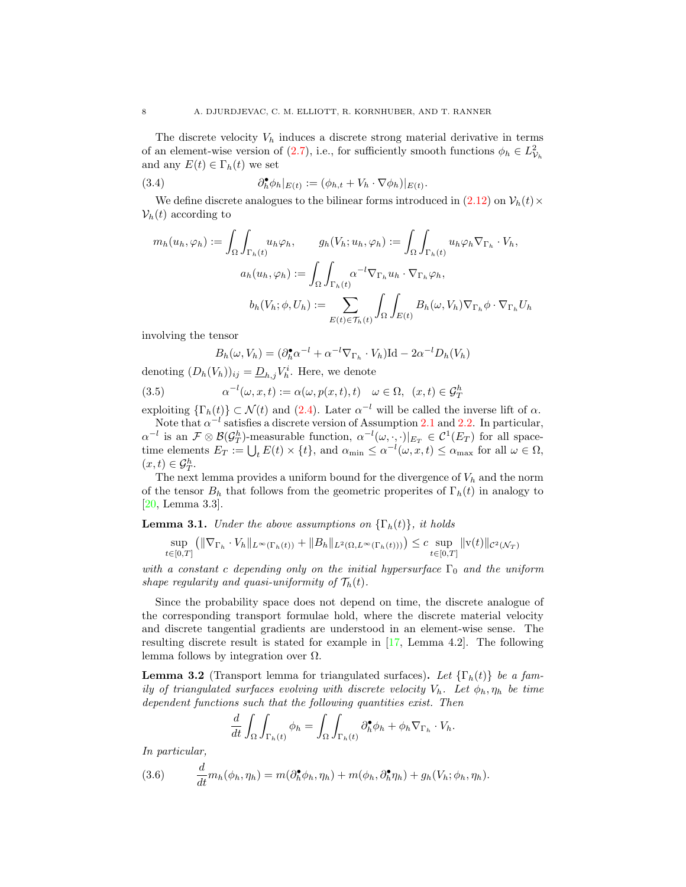The discrete velocity  $V_h$  induces a discrete strong material derivative in terms of an element-wise version of [\(2.7\)](#page-4-0), i.e., for sufficiently smooth functions  $\phi_h \in L^2_{\mathcal{V}_h}$ and any  $E(t) \in \Gamma_h(t)$  we set

(3.4) 
$$
\partial_h^{\bullet} \phi_h|_{E(t)} := (\phi_{h,t} + V_h \cdot \nabla \phi_h)|_{E(t)}.
$$

We define discrete analogues to the bilinear forms introduced in  $(2.12)$  on  $\mathcal{V}_h(t) \times$  $\mathcal{V}_h(t)$  according to

$$
m_h(u_h, \varphi_h) := \int_{\Omega} \int_{\Gamma_h(t)} u_h \varphi_h, \qquad g_h(V_h; u_h, \varphi_h) := \int_{\Omega} \int_{\Gamma_h(t)} u_h \varphi_h \nabla_{\Gamma_h} \cdot V_h,
$$

$$
a_h(u_h, \varphi_h) := \int_{\Omega} \int_{\Gamma_h(t)} \alpha^{-l} \nabla_{\Gamma_h} u_h \cdot \nabla_{\Gamma_h} \varphi_h,
$$

$$
b_h(V_h; \phi, U_h) := \sum_{E(t) \in \mathcal{T}_h(t)} \int_{\Omega} \int_{E(t)} B_h(\omega, V_h) \nabla_{\Gamma_h} \phi \cdot \nabla_{\Gamma_h} U_h
$$

involving the tensor

<span id="page-7-1"></span>
$$
B_h(\omega, V_h) = (\partial_h^{\bullet} \alpha^{-l} + \alpha^{-l} \nabla_{\Gamma_h} \cdot V_h) \text{Id} - 2\alpha^{-l} D_h(V_h)
$$

denoting  $(D_h(V_h))_{ij} = \underline{D}_{h,j} V_h^i$ . Here, we denote

(3.5) 
$$
\alpha^{-l}(\omega, x, t) := \alpha(\omega, p(x, t), t) \quad \omega \in \Omega, \ (x, t) \in \mathcal{G}_T^h
$$

exploiting  $\{\Gamma_h(t)\}\subset \mathcal{N}(t)$  and  $(2.4)$ . Later  $\alpha^{-l}$  will be called the inverse lift of  $\alpha$ . Note that  $\alpha^{-l}$  satisfies a discrete version of Assumption [2.1](#page-4-2) and [2.2.](#page-5-1) In particular,

 $\alpha^{-l}$  is an  $\mathcal{F} \otimes \mathcal{B}(\mathcal{G}_T^h)$ -measurable function,  $\alpha^{-l}(\omega, \cdot, \cdot)|_{E_T} \in \mathcal{C}^1(E_T)$  for all spacetime elements  $E_T := \bigcup_t E(t) \times \{t\}$ , and  $\alpha_{\min} \leq \alpha^{-l}(\omega, x, t) \leq \alpha_{\max}$  for all  $\omega \in \Omega$ ,  $(x,t)\in \mathcal{G}_T^h.$ 

The next lemma provides a uniform bound for the divergence of  $V_h$  and the norm of the tensor  $B_h$  that follows from the geometric properites of  $\Gamma_h(t)$  in analogy to [\[20,](#page-23-13) Lemma 3.3].

<span id="page-7-0"></span>**Lemma 3.1.** Under the above assumptions on  $\{\Gamma_h(t)\}\$ , it holds

$$
\sup_{t \in [0,T]} (||\nabla_{\Gamma_h} \cdot V_h||_{L^{\infty}(\Gamma_h(t))} + ||B_h||_{L^2(\Omega, L^{\infty}(\Gamma_h(t)))}) \leq c \sup_{t \in [0,T]} ||v(t)||_{\mathcal{C}^2(\mathcal{N}_T)}
$$

with a constant c depending only on the initial hypersurface  $\Gamma_0$  and the uniform shape regularity and quasi-uniformity of  $\mathcal{T}_h(t)$ .

Since the probability space does not depend on time, the discrete analogue of the corresponding transport formulae hold, where the discrete material velocity and discrete tangential gradients are understood in an element-wise sense. The resulting discrete result is stated for example in [\[17,](#page-23-4) Lemma 4.2]. The following lemma follows by integration over  $\Omega$ .

<span id="page-7-2"></span>**Lemma 3.2** (Transport lemma for triangulated surfaces). Let  $\{\Gamma_h(t)\}\$ be a family of triangulated surfaces evolving with discrete velocity  $V_h$ . Let  $\phi_h$ ,  $\eta_h$  be time dependent functions such that the following quantities exist. Then

$$
\frac{d}{dt} \int_{\Omega} \int_{\Gamma_h(t)} \phi_h = \int_{\Omega} \int_{\Gamma_h(t)} \partial_h^{\bullet} \phi_h + \phi_h \nabla_{\Gamma_h} \cdot V_h.
$$

In particular,

<span id="page-7-3"></span>(3.6) 
$$
\frac{d}{dt}m_h(\phi_h, \eta_h) = m(\partial_h^{\bullet} \phi_h, \eta_h) + m(\phi_h, \partial_h^{\bullet} \eta_h) + g_h(V_h; \phi_h, \eta_h).
$$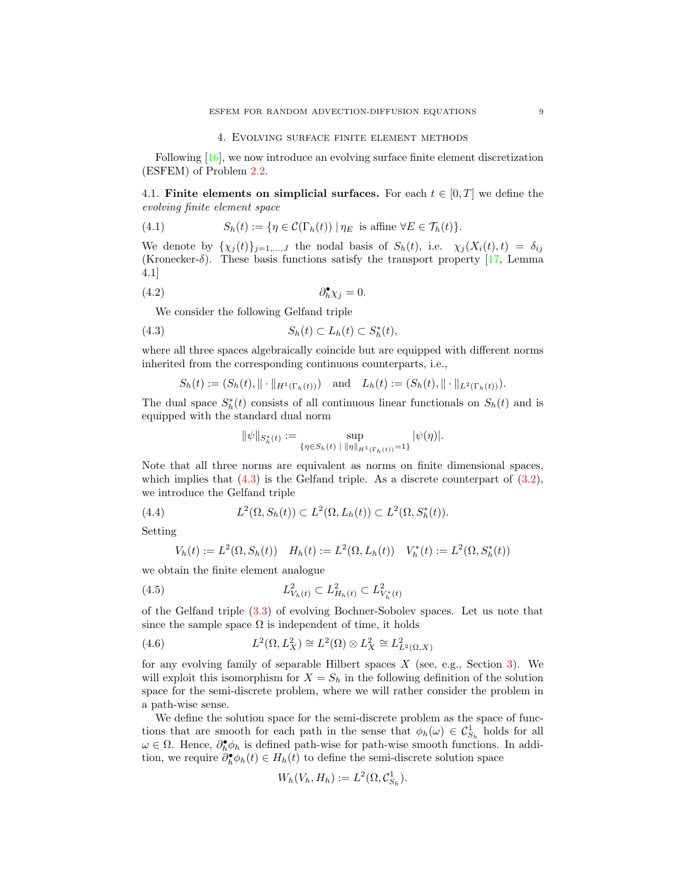#### 4. Evolving surface finite element methods

<span id="page-8-0"></span>Following [\[16\]](#page-23-3), we now introduce an evolving surface finite element discretization (ESFEM) of Problem [2.2.](#page-6-2)

4.1. Finite elements on simplicial surfaces. For each  $t \in [0, T]$  we define the evolving finite element space

(4.1) 
$$
S_h(t) := \{ \eta \in C(\Gamma_h(t)) \mid \eta_E \text{ is affine } \forall E \in \mathcal{T}_h(t) \}.
$$

We denote by  $\{\chi_i(t)\}_{i=1,\dots,J}$  the nodal basis of  $S_h(t)$ , i.e.  $\chi_i(X_i(t), t) = \delta_{ij}$ (Kronecker- $\delta$ ). These basis functions satisfy the transport property [\[17,](#page-23-4) Lemma 4.1]

$$
\partial_h^{\bullet} \chi_j = 0.
$$

We consider the following Gelfand triple

$$
(4.3) \tSh(t) \subset Lh(t) \subset Sh*(t),
$$

where all three spaces algebraically coincide but are equipped with different norms inherited from the corresponding continuous counterparts, i.e.,

$$
S_h(t) := (S_h(t), \|\cdot\|_{H^1(\Gamma_h(t))}) \text{ and } L_h(t) := (S_h(t), \|\cdot\|_{L^2(\Gamma_h(t))}).
$$

The dual space  $S_h^*(t)$  consists of all continuous linear functionals on  $S_h(t)$  and is equipped with the standard dual norm

<span id="page-8-2"></span><span id="page-8-1"></span>
$$
\|\psi\|_{S_h^*(t)} := \sup_{\{\eta \in S_h(t) \mid \|\eta\|_{H^1(\Gamma_h(t))} = 1\}} |\psi(\eta)|.
$$

Note that all three norms are equivalent as norms on finite dimensional spaces, which implies that  $(4.3)$  is the Gelfand triple. As a discrete counterpart of  $(3.2)$ , we introduce the Gelfand triple

(4.4) 
$$
L^{2}(\Omega, S_{h}(t)) \subset L^{2}(\Omega, L_{h}(t)) \subset L^{2}(\Omega, S_{h}^{*}(t)).
$$

Setting

$$
V_h(t) := L^2(\Omega, S_h(t)) \quad H_h(t) := L^2(\Omega, L_h(t)) \quad V_h^*(t) := L^2(\Omega, S_h^*(t))
$$

we obtain the finite element analogue

(4.5) 
$$
L^2_{V_h(t)} \subset L^2_{H_h(t)} \subset L^2_{V_h^*(t)}
$$

of the Gelfand triple [\(3.3\)](#page-6-4) of evolving Bochner-Sobolev spaces. Let us note that since the sample space  $\Omega$  is independent of time, it holds

<span id="page-8-3"></span>(4.6) 
$$
L^2(\Omega, L_X^2) \cong L^2(\Omega) \otimes L_X^2 \cong L^2_{L^2(\Omega, X)}
$$

for any evolving family of separable Hilbert spaces  $X$  (see, e.g., Section [3\)](#page-6-0). We will exploit this isomorphism for  $X = S_h$  in the following definition of the solution space for the semi-discrete problem, where we will rather consider the problem in a path-wise sense.

We define the solution space for the semi-discrete problem as the space of functions that are smooth for each path in the sense that  $\phi_h(\omega) \in C_{S_h}^1$  holds for all  $\omega \in \Omega$ . Hence,  $\partial_h^{\bullet} \phi_h$  is defined path-wise for path-wise smooth functions. In addition, we require  $\partial_h^{\bullet} \phi_h(t) \in H_h(t)$  to define the semi-discrete solution space

$$
W_h(V_h, H_h) := L^2(\Omega, \mathcal{C}_{S_h}^1).
$$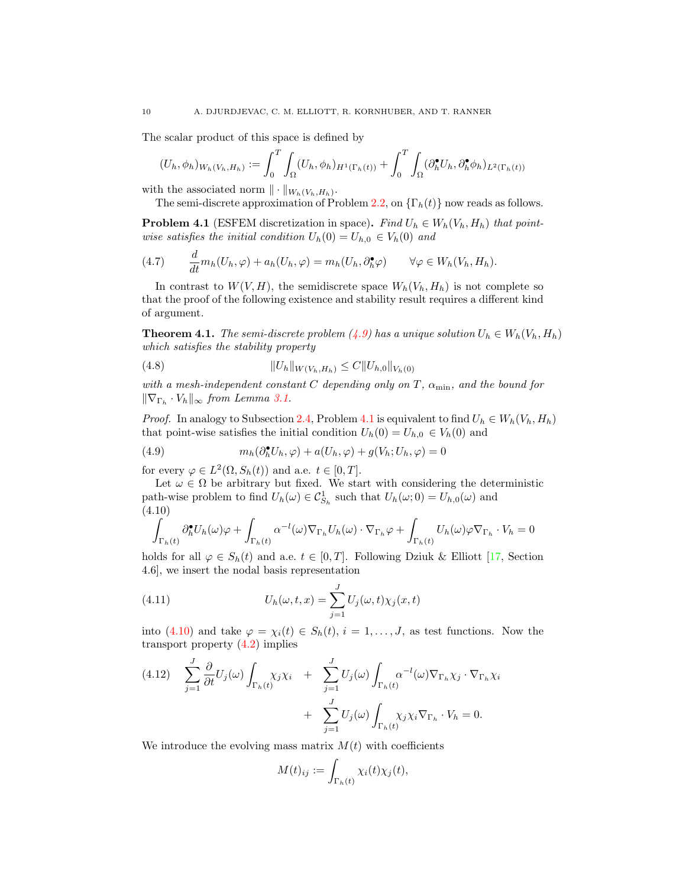The scalar product of this space is defined by

$$
(U_h, \phi_h)_{W_h(V_h, H_h)} := \int_0^T \int_{\Omega} (U_h, \phi_h)_{H^1(\Gamma_h(t))} + \int_0^T \int_{\Omega} (\partial_h^{\bullet} U_h, \partial_h^{\bullet} \phi_h)_{L^2(\Gamma_h(t))}
$$

with the associated norm  $\|\cdot\|_{W_h(V_h,H_h)}$ .

The semi-discrete approximation of Problem [2.2,](#page-6-2) on  $\{\Gamma_h(t)\}\$ now reads as follows.

<span id="page-9-1"></span>**Problem 4.1** (ESFEM discretization in space). Find  $U_h \in W_h(V_h, H_h)$  that pointwise satisfies the initial condition  $U_h(0) = U_{h,0} \in V_h(0)$  and

<span id="page-9-6"></span>(4.7) 
$$
\frac{d}{dt}m_h(U_h,\varphi)+a_h(U_h,\varphi)=m_h(U_h,\partial_h^{\bullet}\varphi) \qquad \forall \varphi \in W_h(V_h,H_h).
$$

In contrast to  $W(V, H)$ , the semidiscrete space  $W_h(V_h, H_h)$  is not complete so that the proof of the following existence and stability result requires a different kind of argument.

<span id="page-9-5"></span>**Theorem 4.1.** The semi-discrete problem  $(4.9)$  has a unique solution  $U_h \in W_h(V_h, H_h)$ which satisfies the stability property

<span id="page-9-4"></span>
$$
(4.8) \t\t\t\t ||U_h||_{W(V_h, H_h)} \leq C||U_{h,0}||_{V_h(0)}
$$

with a mesh-independent constant C depending only on T,  $\alpha_{\min}$ , and the bound for  $\|\nabla_{\Gamma_h} \cdot V_h\|_{\infty}$  from Lemma [3.1.](#page-7-0)

*Proof.* In analogy to Subsection [2.4,](#page-4-4) Problem [4.1](#page-9-1) is equivalent to find  $U_h \in W_h(V_h, H_h)$ that point-wise satisfies the initial condition  $U_h(0) = U_{h,0} \in V_h(0)$  and

<span id="page-9-0"></span>(4.9) 
$$
m_h(\partial_h^{\bullet} U_h, \varphi) + a(U_h, \varphi) + g(V_h; U_h, \varphi) = 0
$$

for every  $\varphi \in L^2(\Omega, S_h(t))$  and a.e.  $t \in [0, T]$ .

Let  $\omega \in \Omega$  be arbitrary but fixed. We start with considering the deterministic path-wise problem to find  $U_h(\omega) \in \mathcal{C}_{S_h}^1$  such that  $U_h(\omega; 0) = U_{h,0}(\omega)$  and (4.10)

<span id="page-9-2"></span>
$$
\int_{\Gamma_h(t)} \partial_h^{\bullet} U_h(\omega) \varphi + \int_{\Gamma_h(t)} \alpha^{-l}(\omega) \nabla_{\Gamma_h} U_h(\omega) \cdot \nabla_{\Gamma_h} \varphi + \int_{\Gamma_h(t)} U_h(\omega) \varphi \nabla_{\Gamma_h} \cdot V_h = 0
$$

holds for all  $\varphi \in S_h(t)$  and a.e.  $t \in [0, T]$ . Following Dziuk & Elliott [\[17,](#page-23-4) Section 4.6], we insert the nodal basis representation

(4.11) 
$$
U_h(\omega, t, x) = \sum_{j=1}^J U_j(\omega, t) \chi_j(x, t)
$$

into [\(4.10\)](#page-9-2) and take  $\varphi = \chi_i(t) \in S_h(t)$ ,  $i = 1, \ldots, J$ , as test functions. Now the transport property  $(4.2)$  implies

<span id="page-9-3"></span>
$$
(4.12) \quad \sum_{j=1}^{J} \frac{\partial}{\partial t} U_j(\omega) \int_{\Gamma_h(t)} \chi_j \chi_i + \sum_{j=1}^{J} U_j(\omega) \int_{\Gamma_h(t)} \alpha^{-l}(\omega) \nabla_{\Gamma_h} \chi_j \cdot \nabla_{\Gamma_h} \chi_i + \sum_{j=1}^{J} U_j(\omega) \int_{\Gamma_h(t)} \chi_j \chi_i \nabla_{\Gamma_h} \cdot V_h = 0.
$$

We introduce the evolving mass matrix  $M(t)$  with coefficients

$$
M(t)_{ij} := \int_{\Gamma_h(t)} \chi_i(t) \chi_j(t),
$$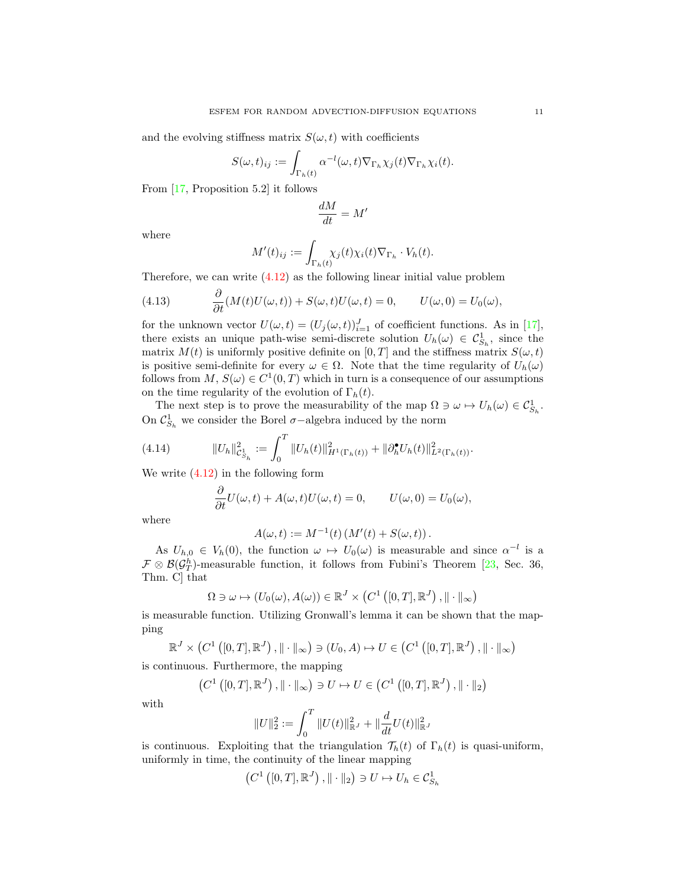and the evolving stiffness matrix  $S(\omega, t)$  with coefficients

$$
S(\omega, t)_{ij} := \int_{\Gamma_h(t)} \alpha^{-l}(\omega, t) \nabla_{\Gamma_h} \chi_j(t) \nabla_{\Gamma_h} \chi_i(t).
$$

From [\[17,](#page-23-4) Proposition 5.2] it follows

$$
\frac{dM}{dt}=M'
$$

where

$$
M'(t)_{ij} := \int_{\Gamma_h(t)} \chi_j(t) \chi_i(t) \nabla_{\Gamma_h} \cdot V_h(t).
$$

Therefore, we can write [\(4.12\)](#page-9-3) as the following linear initial value problem

(4.13) 
$$
\frac{\partial}{\partial t}(M(t)U(\omega,t)) + S(\omega,t)U(\omega,t) = 0, \qquad U(\omega,0) = U_0(\omega),
$$

for the unknown vector  $U(\omega, t) = (U_j(\omega, t))_{i=1}^J$  of coefficient functions. As in [\[17\]](#page-23-4), there exists an unique path-wise semi-discrete solution  $U_h(\omega) \in \mathcal{C}_{S_h}^1$ , since the matrix  $M(t)$  is uniformly positive definite on [0, T] and the stiffness matrix  $S(\omega, t)$ is positive semi-definite for every  $\omega \in \Omega$ . Note that the time regularity of  $U_h(\omega)$ follows from  $M, S(\omega) \in C^1(0,T)$  which in turn is a consequence of our assumptions on the time regularity of the evolution of  $\Gamma_h(t)$ .

The next step is to prove the measurability of the map  $\Omega \ni \omega \mapsto U_h(\omega) \in C^1_{S_h}$ . On  $\mathcal{C}_{S_h}^1$  we consider the Borel  $\sigma$ -algebra induced by the norm

(4.14) 
$$
||U_h||_{\mathcal{C}_{S_h}^1}^2 := \int_0^T ||U_h(t)||_{H^1(\Gamma_h(t))}^2 + ||\partial_h^{\bullet} U_h(t)||_{L^2(\Gamma_h(t))}^2.
$$

We write  $(4.12)$  in the following form

$$
\frac{\partial}{\partial t}U(\omega, t) + A(\omega, t)U(\omega, t) = 0, \qquad U(\omega, 0) = U_0(\omega),
$$

where

$$
A(\omega, t) := M^{-1}(t) (M'(t) + S(\omega, t)).
$$

As  $U_{h,0} \in V_h(0)$ , the function  $\omega \mapsto U_0(\omega)$  is measurable and since  $\alpha^{-l}$  is a  $\mathcal{F} \otimes \mathcal{B}(\mathcal{G}_T^h)$ -measurable function, it follows from Fubini's Theorem [\[23,](#page-23-10) Sec. 36, Thm. C] that

$$
\Omega \ni \omega \mapsto (U_0(\omega), A(\omega)) \in \mathbb{R}^J \times (C^1([0, T], \mathbb{R}^J), \|\cdot\|_{\infty})
$$

is measurable function. Utilizing Gronwall's lemma it can be shown that the mapping

$$
\mathbb{R}^{J} \times (C^1([0,T], \mathbb{R}^{J}), \|\cdot\|_{\infty}) \ni (U_0, A) \mapsto U \in (C^1([0,T], \mathbb{R}^{J}), \|\cdot\|_{\infty})
$$

is continuous. Furthermore, the mapping

$$
\left(C^1\left([0,T],\mathbb{R}^J\right),\|\cdot\|_{\infty}\right)\ni U\mapsto U\in \left(C^1\left([0,T],\mathbb{R}^J\right),\|\cdot\|_2\right)
$$

with

$$
||U||_2^2 := \int_0^T ||U(t)||_{\mathbb{R}^J}^2 + ||\frac{d}{dt}U(t)||_{\mathbb{R}^J}^2
$$

is continuous. Exploiting that the triangulation  $\mathcal{T}_h(t)$  of  $\Gamma_h(t)$  is quasi-uniform, uniformly in time, the continuity of the linear mapping

$$
(C^1([0,T],\mathbb{R}^J),\|\cdot\|_2)\ni U\mapsto U_h\in \mathcal{C}_{S_h}^1
$$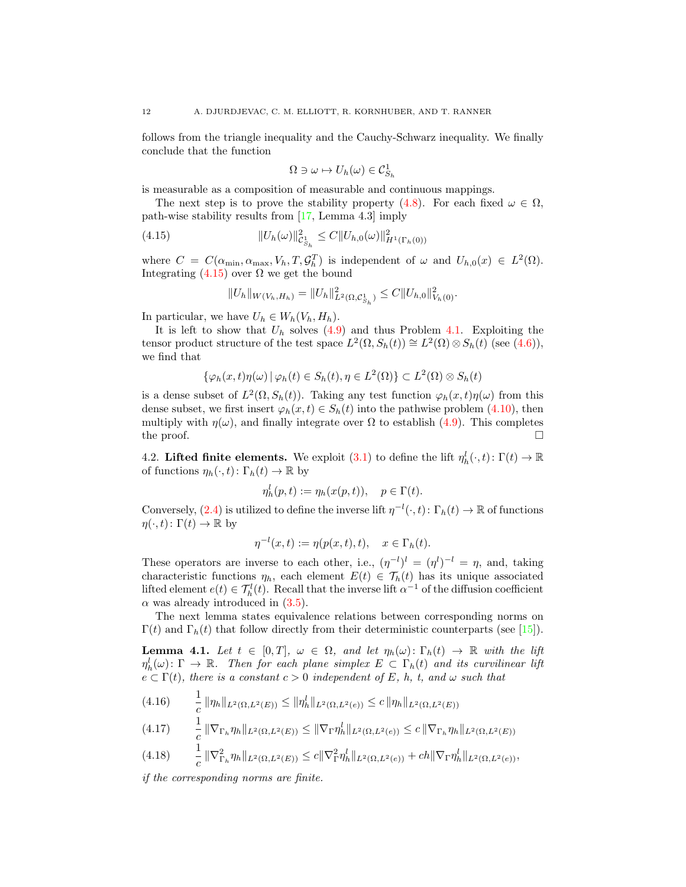follows from the triangle inequality and the Cauchy-Schwarz inequality. We finally conclude that the function

$$
\Omega \ni \omega \mapsto U_h(\omega) \in \mathcal{C}_{S_h}^1
$$

is measurable as a composition of measurable and continuous mappings.

The next step is to prove the stability property [\(4.8\)](#page-9-4). For each fixed  $\omega \in \Omega$ , path-wise stability results from [\[17,](#page-23-4) Lemma 4.3] imply

(4.15) 
$$
||U_h(\omega)||_{\mathcal{C}_{S_h}^1}^2 \leq C||U_{h,0}(\omega)||_{H^1(\Gamma_h(0))}^2
$$

where  $C = C(\alpha_{\min}, \alpha_{\max}, V_h, T, \mathcal{G}_h^T)$  is independent of  $\omega$  and  $U_{h,0}(x) \in L^2(\Omega)$ . Integrating  $(4.15)$  over  $\Omega$  we get the bound

<span id="page-11-0"></span>
$$
||U_h||_{W(V_h, H_h)} = ||U_h||^2_{L^2(\Omega, \mathcal{C}_{S_h}^1)} \leq C||U_{h,0}||^2_{V_h(0)}.
$$

In particular, we have  $U_h \in W_h(V_h, H_h)$ .

It is left to show that  $U_h$  solves  $(4.9)$  and thus Problem [4.1.](#page-9-1) Exploiting the tensor product structure of the test space  $L^2(\Omega, S_h(t)) \cong L^2(\Omega) \otimes S_h(t)$  (see [\(4.6\)](#page-8-3)), we find that

$$
\{\varphi_h(x,t)\eta(\omega) \,|\, \varphi_h(t) \in S_h(t), \eta \in L^2(\Omega)\} \subset L^2(\Omega) \otimes S_h(t)
$$

is a dense subset of  $L^2(\Omega, S_h(t))$ . Taking any test function  $\varphi_h(x, t)\eta(\omega)$  from this dense subset, we first insert  $\varphi_h(x,t) \in S_h(t)$  into the pathwise problem [\(4.10\)](#page-9-2), then multiply with  $\eta(\omega)$ , and finally integrate over  $\Omega$  to establish [\(4.9\)](#page-9-0). This completes the proof.  $\square$ 

4.2. Lifted finite elements. We exploit [\(3.1\)](#page-6-5) to define the lift  $\eta_h^l(\cdot, t) \colon \Gamma(t) \to \mathbb{R}$ of functions  $\eta_h(\cdot, t) \colon \Gamma_h(t) \to \mathbb{R}$  by

$$
\eta_h^l(p, t) := \eta_h(x(p, t)), \quad p \in \Gamma(t).
$$

Conversely, [\(2.4\)](#page-2-0) is utilized to define the inverse lift  $\eta^{-l}(\cdot,t): \Gamma_h(t) \to \mathbb{R}$  of functions  $\eta(\cdot,t): \Gamma(t) \to \mathbb{R}$  by

$$
\eta^{-l}(x,t) := \eta(p(x,t),t), \quad x \in \Gamma_h(t).
$$

These operators are inverse to each other, i.e.,  $(\eta^{-l})^l = (\eta^l)^{-l} = \eta$ , and, taking characteristic functions  $\eta_h$ , each element  $E(t) \in \mathcal{T}_h(t)$  has its unique associated lifted element  $e(t) \in \mathcal{T}_h^l(t)$ . Recall that the inverse lift  $\alpha^{-1}$  of the diffusion coefficient  $\alpha$  was already introduced in [\(3.5\)](#page-7-1).

The next lemma states equivalence relations between corresponding norms on  $\Gamma(t)$  and  $\Gamma_h(t)$  that follow directly from their deterministic counterparts (see [\[15\]](#page-23-2)).

<span id="page-11-1"></span>**Lemma 4.1.** Let  $t \in [0,T], \omega \in \Omega$ , and let  $\eta_h(\omega) \colon \Gamma_h(t) \to \mathbb{R}$  with the lift  $\eta_h^l(\omega) \colon \Gamma \to \mathbb{R}$ . Then for each plane simplex  $E \subset \Gamma_h(t)$  and its curvilinear lift  $e \subset \Gamma(t)$ , there is a constant  $c > 0$  independent of E, h, t, and  $\omega$  such that

$$
(4.16) \qquad \frac{1}{c} \|\eta_h\|_{L^2(\Omega, L^2(E))} \le \|\eta_h^l\|_{L^2(\Omega, L^2(e))} \le c \|\eta_h\|_{L^2(\Omega, L^2(E))}
$$

$$
(4.17) \qquad \frac{1}{c} \|\nabla_{\Gamma_h} \eta_h\|_{L^2(\Omega, L^2(E))} \le \|\nabla_{\Gamma} \eta_h^l\|_{L^2(\Omega, L^2(e))} \le c \|\nabla_{\Gamma_h} \eta_h\|_{L^2(\Omega, L^2(E))}
$$

$$
(4.18) \qquad \frac{1}{c} \|\nabla^2_{\Gamma_h} \eta_h\|_{L^2(\Omega, L^2(E))} \le c \|\nabla^2_{\Gamma} \eta_h^l\|_{L^2(\Omega, L^2(e))} + ch \|\nabla_{\Gamma} \eta_h^l\|_{L^2(\Omega, L^2(e))},
$$

if the corresponding norms are finite.

1

1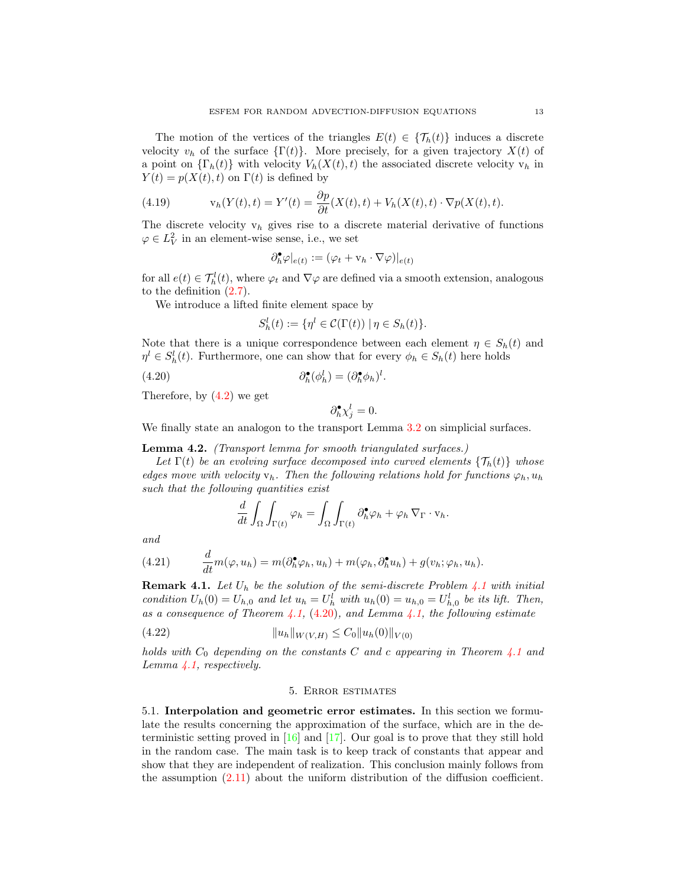The motion of the vertices of the triangles  $E(t) \in {\mathcal{T}_h(t)}$  induces a discrete velocity  $v_h$  of the surface  $\{\Gamma(t)\}\)$ . More precisely, for a given trajectory  $X(t)$  of a point on  $\{\Gamma_h(t)\}\$  with velocity  $V_h(X(t), t)$  the associated discrete velocity  $v_h$  in  $Y(t) = p(X(t), t)$  on  $\Gamma(t)$  is defined by

<span id="page-12-2"></span>(4.19) 
$$
v_h(Y(t),t) = Y'(t) = \frac{\partial p}{\partial t}(X(t),t) + V_h(X(t),t) \cdot \nabla p(X(t),t).
$$

The discrete velocity  $v_h$  gives rise to a discrete material derivative of functions  $\varphi \in L^2_V$  in an element-wise sense, i.e., we set

$$
\partial_h^{\bullet} \varphi|_{e(t)} := (\varphi_t + \mathbf{v}_h \cdot \nabla \varphi)|_{e(t)}
$$

for all  $e(t) \in \mathcal{T}_h^l(t)$ , where  $\varphi_t$  and  $\nabla \varphi$  are defined via a smooth extension, analogous to the definition [\(2.7\)](#page-4-0).

We introduce a lifted finite element space by

$$
S_h^l(t) := \{ \eta^l \in \mathcal{C}(\Gamma(t)) \mid \eta \in S_h(t) \}.
$$

Note that there is a unique correspondence between each element  $\eta \in S_h(t)$  and  $\eta^l \in S_h^l(t)$ . Furthermore, one can show that for every  $\phi_h \in S_h(t)$  here holds

(4.20) 
$$
\partial_h^{\bullet}(\phi_h^l) = (\partial_h^{\bullet} \phi_h)^l.
$$

Therefore, by [\(4.2\)](#page-8-2) we get

<span id="page-12-1"></span>
$$
\partial_h^{\bullet} \chi_j^l = 0.
$$

We finally state an analogon to the transport Lemma [3.2](#page-7-2) on simplicial surfaces.

<span id="page-12-4"></span>Lemma 4.2. (Transport lemma for smooth triangulated surfaces.)

Let  $\Gamma(t)$  be an evolving surface decomposed into curved elements  $\{\mathcal{T}_h(t)\}\$  whose edges move with velocity  $v_h$ . Then the following relations hold for functions  $\varphi_h$ ,  $u_h$ such that the following quantities exist

$$
\frac{d}{dt} \int_{\Omega} \int_{\Gamma(t)} \varphi_h = \int_{\Omega} \int_{\Gamma(t)} \partial_h^{\bullet} \varphi_h + \varphi_h \nabla_{\Gamma} \cdot \mathbf{v}_h.
$$

and

<span id="page-12-3"></span>(4.21) 
$$
\frac{d}{dt}m(\varphi, u_h) = m(\partial_h^{\bullet} \varphi_h, u_h) + m(\varphi_h, \partial_h^{\bullet} u_h) + g(v_h; \varphi_h, u_h).
$$

<span id="page-12-6"></span>**Remark [4.1](#page-9-1).** Let  $U_h$  be the solution of the semi-discrete Problem 4.1 with initial condition  $U_h(0) = U_{h,0}$  and let  $u_h = U_h^l$  with  $u_h(0) = u_{h,0} = U_{h,0}^l$  be its lift. Then, as a consequence of Theorem [4.1,](#page-11-1) [\(4.20\)](#page-12-1), and Lemma 4.1, the following estimate

(4.22) kuhkW(V,H) ≤ C0kuh(0)k<sup>V</sup> (0)

holds with  $C_0$  depending on the constants C and c appearing in Theorem [4.1](#page-9-5) and Lemma [4.1,](#page-11-1) respectively.

#### <span id="page-12-5"></span>5. Error estimates

<span id="page-12-0"></span>5.1. Interpolation and geometric error estimates. In this section we formulate the results concerning the approximation of the surface, which are in the deterministic setting proved in [\[16\]](#page-23-3) and [\[17\]](#page-23-4). Our goal is to prove that they still hold in the random case. The main task is to keep track of constants that appear and show that they are independent of realization. This conclusion mainly follows from the assumption [\(2.11\)](#page-5-0) about the uniform distribution of the diffusion coefficient.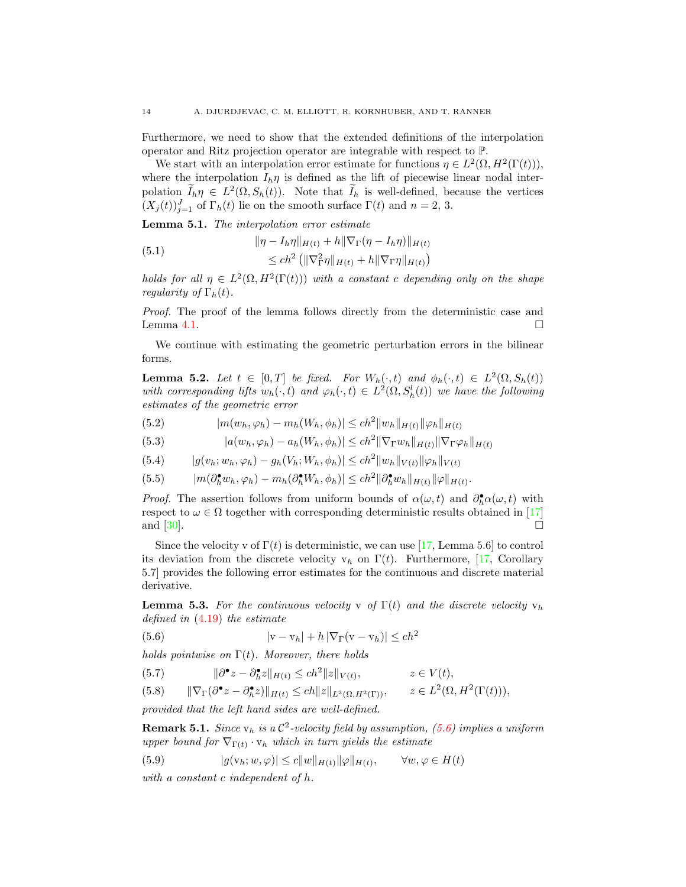Furthermore, we need to show that the extended definitions of the interpolation operator and Ritz projection operator are integrable with respect to P.

We start with an interpolation error estimate for functions  $\eta \in L^2(\Omega, H^2(\Gamma(t))),$ where the interpolation  $I_h \eta$  is defined as the lift of piecewise linear nodal interpolation  $\widetilde{I}_h \eta \in L^2(\Omega, S_h(t))$ . Note that  $\widetilde{I}_h$  is well-defined, because the vertices  $(X_j(t))_{j=1}^J$  of  $\Gamma_h(t)$  lie on the smooth surface  $\Gamma(t)$  and  $n=2, 3$ .

<span id="page-13-1"></span>**Lemma 5.1.** The interpolation error estimate

(5.1) 
$$
\|\eta - I_h \eta\|_{H(t)} + h \|\nabla_{\Gamma} (\eta - I_h \eta) \|_{H(t)} \n\le ch^2 \left( \|\nabla_{\Gamma}^2 \eta\|_{H(t)} + h \|\nabla_{\Gamma} \eta\|_{H(t)} \right)
$$

holds for all  $\eta \in L^2(\Omega, H^2(\Gamma(t)))$  with a constant c depending only on the shape regularity of  $\Gamma_h(t)$ .

Proof. The proof of the lemma follows directly from the deterministic case and Lemma [4.1.](#page-11-1)  $\Box$ 

We continue with estimating the geometric perturbation errors in the bilinear forms.

<span id="page-13-4"></span>**Lemma 5.2.** Let  $t \in [0,T]$  be fixed. For  $W_h(\cdot,t)$  and  $\phi_h(\cdot,t) \in L^2(\Omega, S_h(t))$ with corresponding lifts  $w_h(\cdot, t)$  and  $\varphi_h(\cdot, t) \in L^2(\Omega, S_h^l(t))$  we have the following estimates of the geometric error

(5.2)  $|m(w_h, \varphi_h) - m_h(W_h, \phi_h)| \le ch^2 ||w_h||_{H(t)} ||\varphi_h||_{H(t)}$ 

(5.3) 
$$
|a(w_h, \varphi_h) - a_h(W_h, \phi_h)| \le ch^2 \|\nabla_{\Gamma} w_h\|_{H(t)} \|\nabla_{\Gamma} \varphi_h\|_{H(t)}
$$

- $|(5.4)$   $|g(v_h; w_h, \varphi_h) g_h(V_h; W_h, \phi_h)| \leq ch^2 \|w_h\|_{V(t)} \|\varphi_h\|_{V(t)}$
- $(m(\partial_h^{\bullet} w_h, \varphi_h) m_h(\partial_h^{\bullet} W_h, \phi_h)) \leq c h^2 \|\partial_h^{\bullet} w_h\|_{H(t)} \|\varphi\|_{H(t)}.$

*Proof.* The assertion follows from uniform bounds of  $\alpha(\omega, t)$  and  $\partial_h^{\bullet} \alpha(\omega, t)$  with respect to  $\omega \in \Omega$  together with corresponding deterministic results obtained in [\[17\]](#page-23-4) and  $[30]$ .

Since the velocity v of  $\Gamma(t)$  is deterministic, we can use [\[17,](#page-23-4) Lemma 5.6] to control its deviation from the discrete velocity  $v_h$  on  $\Gamma(t)$ . Furthermore, [\[17,](#page-23-4) Corollary 5.7] provides the following error estimates for the continuous and discrete material derivative.

<span id="page-13-5"></span>**Lemma 5.3.** For the continuous velocity v of  $\Gamma(t)$  and the discrete velocity  $v_h$ defined in [\(4.19\)](#page-12-2) the estimate

<span id="page-13-0"></span>(5.6) 
$$
|\mathbf{v} - \mathbf{v}_h| + h |\nabla_{\Gamma} (\mathbf{v} - \mathbf{v}_h)| \leq c h^2
$$

holds pointwise on  $\Gamma(t)$ . Moreover, there holds

(5.7) 
$$
\|\partial^{\bullet} z - \partial_h^{\bullet} z\|_{H(t)} \leq c h^2 \|z\|_{V(t)}, \qquad z \in V(t),
$$

$$
(5.8) \qquad \|\nabla_{\Gamma}(\partial^{\bullet} z - \partial_h^{\bullet} z)\|_{H(t)} \le ch \|z\|_{L^2(\Omega, H^2(\Gamma))}, \qquad z \in L^2(\Omega, H^2(\Gamma(t))),
$$

provided that the left hand sides are well-defined.

<span id="page-13-3"></span>**Remark 5.1.** Since  $v_h$  is a  $C^2$ -velocity field by assumption, [\(5.6\)](#page-13-0) implies a uniform upper bound for  $\nabla_{\Gamma(t)} \cdot \mathbf{v}_h$  which in turn yields the estimate

<span id="page-13-2"></span>(5.9) 
$$
|g(v_h; w, \varphi)| \le c \|w\|_{H(t)} \|\varphi\|_{H(t)}, \qquad \forall w, \varphi \in H(t)
$$

with a constant c independent of h.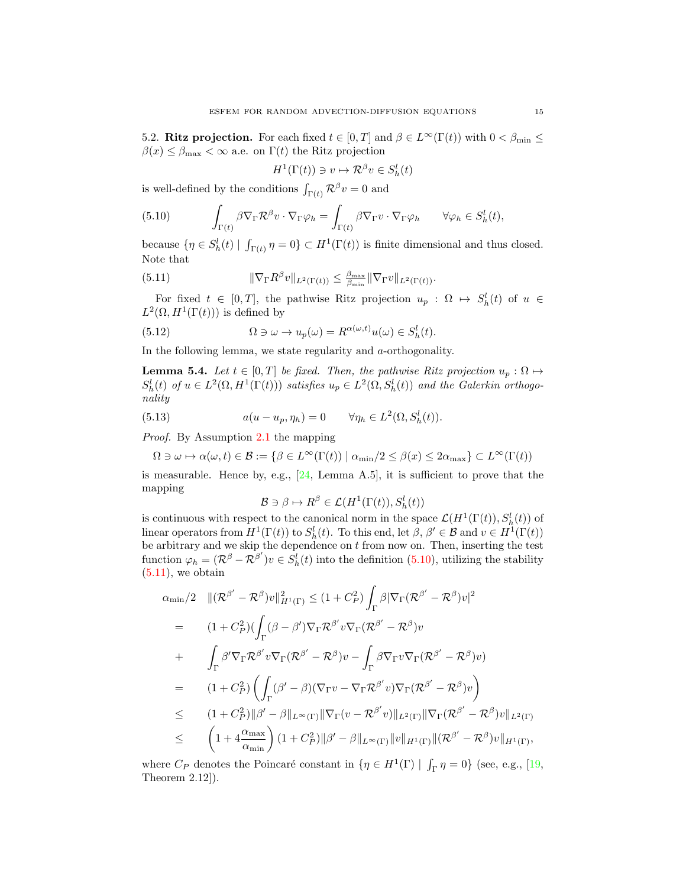5.2. Ritz projection. For each fixed  $t \in [0, T]$  and  $\beta \in L^{\infty}(\Gamma(t))$  with  $0 < \beta_{\min} \le$  $\beta(x) \leq \beta_{\text{max}} < \infty$  a.e. on  $\Gamma(t)$  the Ritz projection

<span id="page-14-1"></span>
$$
H^1(\Gamma(t))\ni v\mapsto \mathcal{R}^\beta v\in S_h^l(t)
$$

is well-defined by the conditions  $\int_{\Gamma(t)} \mathcal{R}^{\beta} v = 0$  and

<span id="page-14-0"></span>(5.10) 
$$
\int_{\Gamma(t)} \beta \nabla_{\Gamma} \mathcal{R}^{\beta} v \cdot \nabla_{\Gamma} \varphi_h = \int_{\Gamma(t)} \beta \nabla_{\Gamma} v \cdot \nabla_{\Gamma} \varphi_h \qquad \forall \varphi_h \in S_h^l(t),
$$

because  $\{\eta \in S_h^l(t) \mid \int_{\Gamma(t)} \eta = 0\} \subset H^1(\Gamma(t))$  is finite dimensional and thus closed. Note that

(5.11) 
$$
\|\nabla_{\Gamma} R^{\beta} v\|_{L^{2}(\Gamma(t))} \leq \frac{\beta_{\max}}{\beta_{\min}} \|\nabla_{\Gamma} v\|_{L^{2}(\Gamma(t))}.
$$

For fixed  $t \in [0,T]$ , the pathwise Ritz projection  $u_p : \Omega \mapsto S_h^l(t)$  of  $u \in$  $L^2(\Omega, H^1(\Gamma(t)))$  is defined by

<span id="page-14-3"></span>(5.12) 
$$
\Omega \ni \omega \to u_p(\omega) = R^{\alpha(\omega, t)} u(\omega) \in S_h^l(t).
$$

In the following lemma, we state regularity and a-orthogonality.

**Lemma 5.4.** Let  $t \in [0, T]$  be fixed. Then, the pathwise Ritz projection  $u_p : \Omega \mapsto$  $S_h^l(t)$  of  $u \in L^2(\Omega, H^1(\Gamma(t)))$  satisfies  $u_p \in L^2(\Omega, S_h^l(t))$  and the Galerkin orthogonality

(5.13) 
$$
a(u - u_p, \eta_h) = 0 \qquad \forall \eta_h \in L^2(\Omega, S_h^l(t)).
$$

Proof. By Assumption [2.1](#page-4-2) the mapping

$$
\Omega\ni\omega\mapsto\alpha(\omega,t)\in\mathcal{B}:=\{\beta\in L^\infty(\Gamma(t))\mid \alpha_{\min}/2\leq\beta(x)\leq 2\alpha_{\max}\}\subset L^\infty(\Gamma(t))
$$

is measurable. Hence by, e.g.,  $[24, \text{ Lemma A.5}]$ , it is sufficient to prove that the mapping

<span id="page-14-2"></span>
$$
\mathcal{B} \ni \beta \mapsto R^{\beta} \in \mathcal{L}(H^1(\Gamma(t)), S_h^l(t))
$$

is continuous with respect to the canonical norm in the space  $\mathcal{L}(H^1(\Gamma(t)), S_h^l(t))$  of linear operators from  $H^1(\Gamma(t))$  to  $S_h^l(t)$ . To this end, let  $\beta, \beta' \in \mathcal{B}$  and  $v \in H^1(\Gamma(t))$ be arbitrary and we skip the dependence on  $t$  from now on. Then, inserting the test function  $\varphi_h = (\mathcal{R}^{\beta} - \mathcal{R}^{\beta'})v \in S_h^l(t)$  into the definition [\(5.10\)](#page-14-0), utilizing the stability  $(5.11)$ , we obtain

$$
\alpha_{\min}/2 \quad ||(\mathcal{R}^{\beta'} - \mathcal{R}^{\beta})v||_{H^{1}(\Gamma)}^{2} \leq (1 + C_{P}^{2}) \int_{\Gamma} \beta |\nabla_{\Gamma} (\mathcal{R}^{\beta'} - \mathcal{R}^{\beta})v|^{2}
$$
\n
$$
= (1 + C_{P}^{2}) (\int_{\Gamma} (\beta - \beta') \nabla_{\Gamma} \mathcal{R}^{\beta'} v \nabla_{\Gamma} (\mathcal{R}^{\beta'} - \mathcal{R}^{\beta})v
$$
\n
$$
+ \int_{\Gamma} \beta' \nabla_{\Gamma} \mathcal{R}^{\beta'} v \nabla_{\Gamma} (\mathcal{R}^{\beta'} - \mathcal{R}^{\beta})v - \int_{\Gamma} \beta \nabla_{\Gamma} v \nabla_{\Gamma} (\mathcal{R}^{\beta'} - \mathcal{R}^{\beta})v)
$$
\n
$$
= (1 + C_{P}^{2}) \left( \int_{\Gamma} (\beta' - \beta)(\nabla_{\Gamma} v - \nabla_{\Gamma} \mathcal{R}^{\beta'} v) \nabla_{\Gamma} (\mathcal{R}^{\beta'} - \mathcal{R}^{\beta})v \right)
$$
\n
$$
\leq (1 + C_{P}^{2}) ||\beta' - \beta||_{L^{\infty}(\Gamma)} ||\nabla_{\Gamma} (v - \mathcal{R}^{\beta'} v) ||_{L^{2}(\Gamma)} ||\nabla_{\Gamma} (\mathcal{R}^{\beta'} - \mathcal{R}^{\beta})v||_{L^{2}(\Gamma)}
$$
\n
$$
\leq (1 + 4 \frac{\alpha_{\max}}{\alpha_{\min}}) (1 + C_{P}^{2}) ||\beta' - \beta||_{L^{\infty}(\Gamma)} ||v||_{H^{1}(\Gamma)} ||(\mathcal{R}^{\beta'} - \mathcal{R}^{\beta})v||_{H^{1}(\Gamma)},
$$

where  $C_P$  denotes the Poincaré constant in  $\{\eta \in H^1(\Gamma) \mid \int_{\Gamma} \eta = 0\}$  (see, e.g., [\[19,](#page-23-11) Theorem 2.12]).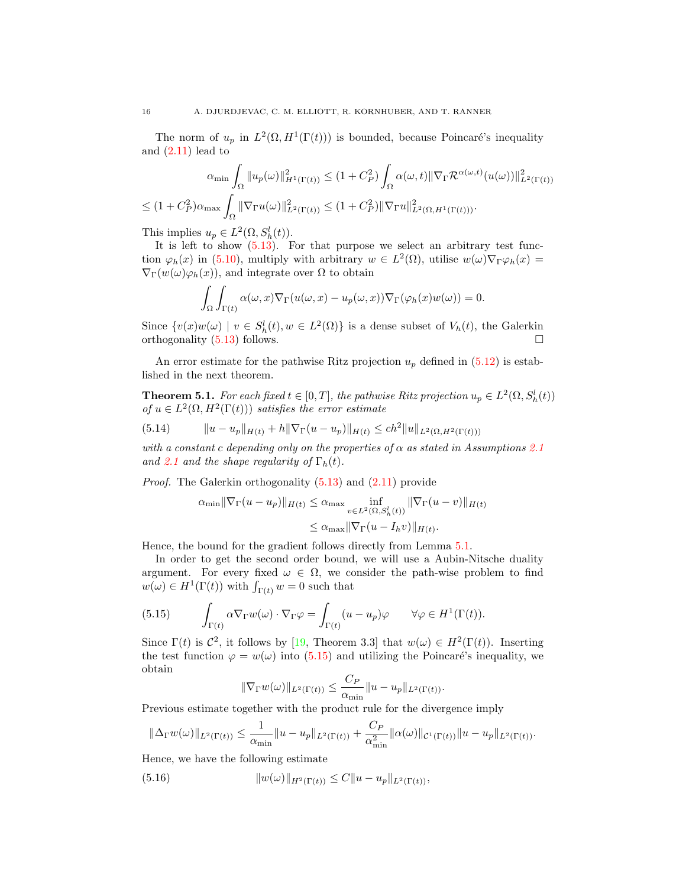The norm of  $u_p$  in  $L^2(\Omega, H^1(\Gamma(t)))$  is bounded, because Poincaré's inequality and  $(2.11)$  lead to

$$
\alpha_{\min} \int_{\Omega} \|u_p(\omega)\|_{H^1(\Gamma(t))}^2 \le (1 + C_P^2) \int_{\Omega} \alpha(\omega, t) \|\nabla_{\Gamma} \mathcal{R}^{\alpha(\omega, t)}(u(\omega))\|_{L^2(\Gamma(t))}^2
$$
  

$$
\le (1 + C_P^2) \alpha_{\max} \int_{\Omega} \|\nabla_{\Gamma} u(\omega)\|_{L^2(\Gamma(t))}^2 \le (1 + C_P^2) \|\nabla_{\Gamma} u\|_{L^2(\Omega, H^1(\Gamma(t)))}^2.
$$

This implies  $u_p \in L^2(\Omega, S_h^l(t))$ .

It is left to show  $(5.13)$ . For that purpose we select an arbitrary test function  $\varphi_h(x)$  in [\(5.10\)](#page-14-0), multiply with arbitrary  $w \in L^2(\Omega)$ , utilise  $w(\omega) \nabla_{\Gamma} \varphi_h(x) =$  $\nabla_{\Gamma}(w(\omega)\varphi_h(x))$ , and integrate over  $\Omega$  to obtain

$$
\int_{\Omega} \int_{\Gamma(t)} \alpha(\omega, x) \nabla_{\Gamma} (u(\omega, x) - u_p(\omega, x)) \nabla_{\Gamma} (\varphi_h(x) w(\omega)) = 0.
$$

Since  $\{v(x)w(\omega) \mid v \in S_h^l(t), w \in L^2(\Omega)\}\$ is a dense subset of  $V_h(t)$ , the Galerkin orthogonality [\(5.13\)](#page-14-2) follows.

An error estimate for the pathwise Ritz projection  $u_p$  defined in  $(5.12)$  is established in the next theorem.

<span id="page-15-2"></span>**Theorem 5.1.** For each fixed  $t \in [0, T]$ , the pathwise Ritz projection  $u_p \in L^2(\Omega, S_h^l(t))$ of  $u \in L^2(\Omega, H^2(\Gamma(t)))$  satisfies the error estimate

(5.14) 
$$
\|u - u_p\|_{H(t)} + h\|\nabla_{\Gamma}(u - u_p)\|_{H(t)} \leq c h^2 \|u\|_{L^2(\Omega, H^2(\Gamma(t)))}
$$

with a constant c depending only on the properties of  $\alpha$  as stated in Assumptions [2.1](#page-4-2) and [2.1](#page-4-2) and the shape regularity of  $\Gamma_h(t)$ .

Proof. The Galerkin orthogonality [\(5.13\)](#page-14-2) and [\(2.11\)](#page-5-0) provide

$$
\alpha_{\min} \|\nabla_{\Gamma}(u - u_p)\|_{H(t)} \leq \alpha_{\max} \inf_{v \in L^2(\Omega, S_h^l(t))} \|\nabla_{\Gamma}(u - v)\|_{H(t)}
$$
  

$$
\leq \alpha_{\max} \|\nabla_{\Gamma}(u - I_h v)\|_{H(t)}.
$$

Hence, the bound for the gradient follows directly from Lemma [5.1.](#page-13-1)

In order to get the second order bound, we will use a Aubin-Nitsche duality argument. For every fixed  $\omega \in \Omega$ , we consider the path-wise problem to find  $w(\omega) \in H^1(\Gamma(t))$  with  $\int_{\Gamma(t)} w = 0$  such that

<span id="page-15-0"></span>(5.15) 
$$
\int_{\Gamma(t)} \alpha \nabla_{\Gamma} w(\omega) \cdot \nabla_{\Gamma} \varphi = \int_{\Gamma(t)} (u - u_p) \varphi \qquad \forall \varphi \in H^1(\Gamma(t)).
$$

Since  $\Gamma(t)$  is  $\mathcal{C}^2$ , it follows by [\[19,](#page-23-11) Theorem 3.3] that  $w(\omega) \in H^2(\Gamma(t))$ . Inserting the test function  $\varphi = w(\omega)$  into [\(5.15\)](#page-15-0) and utilizing the Poincaré's inequality, we obtain

<span id="page-15-1"></span>
$$
\|\nabla_{\Gamma} w(\omega)\|_{L^2(\Gamma(t))} \leq \frac{C_P}{\alpha_{\min}} \|u - u_p\|_{L^2(\Gamma(t))}.
$$

Previous estimate together with the product rule for the divergence imply

$$
\|\Delta_{\Gamma} w(\omega)\|_{L^2(\Gamma(t))} \leq \frac{1}{\alpha_{\min}} \|u - u_p\|_{L^2(\Gamma(t))} + \frac{C_P}{\alpha_{\min}^2} \|\alpha(\omega)\|_{\mathcal{C}^1(\Gamma(t))} \|u - u_p\|_{L^2(\Gamma(t))}.
$$

Hence, we have the following estimate

(5.16) 
$$
||w(\omega)||_{H^2(\Gamma(t))} \leq C||u - u_p||_{L^2(\Gamma(t))},
$$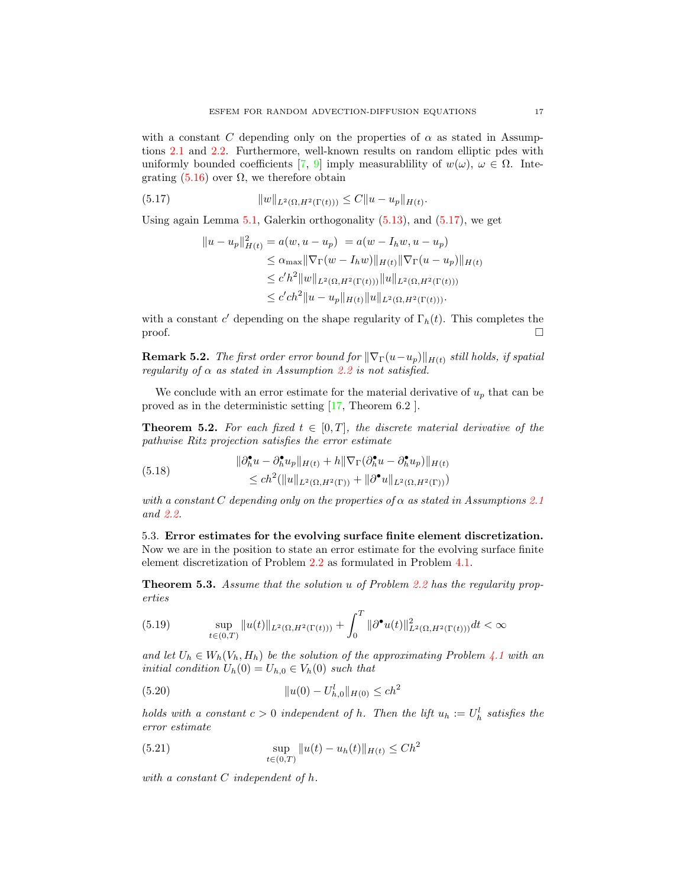with a constant C depending only on the properties of  $\alpha$  as stated in Assumptions [2.1](#page-4-2) and [2.2.](#page-5-1) Furthermore, well-known results on random elliptic pdes with uniformly bounded coefficients [\[7,](#page-22-9) [9\]](#page-22-6) imply measurablility of  $w(\omega)$ ,  $\omega \in \Omega$ . Integrating  $(5.16)$  over  $\Omega$ , we therefore obtain

(5.17) 
$$
||w||_{L^{2}(\Omega, H^{2}(\Gamma(t)))} \leq C||u - u_{p}||_{H(t)}.
$$

Using again Lemma [5.1,](#page-13-1) Galerkin orthogonality [\(5.13\)](#page-14-2), and [\(5.17\)](#page-16-0), we get

<span id="page-16-0"></span>
$$
||u - u_p||_{H(t)}^2 = a(w, u - u_p) = a(w - I_h w, u - u_p)
$$
  
\n
$$
\leq \alpha_{\max} ||\nabla_{\Gamma}(w - I_h w)||_{H(t)} ||\nabla_{\Gamma}(u - u_p)||_{H(t)}
$$
  
\n
$$
\leq c' h^2 ||w||_{L^2(\Omega, H^2(\Gamma(t)))} ||u||_{L^2(\Omega, H^2(\Gamma(t)))}
$$
  
\n
$$
\leq c' c h^2 ||u - u_p||_{H(t)} ||u||_{L^2(\Omega, H^2(\Gamma(t)))}.
$$

with a constant c' depending on the shape regularity of  $\Gamma_h(t)$ . This completes the  $\Box$ 

**Remark 5.2.** The first order error bound for  $\|\nabla \Gamma(u-u_p)\|_{H(t)}$  still holds, if spatial regularity of  $\alpha$  as stated in Assumption [2.2](#page-5-1) is not satisfied.

We conclude with an error estimate for the material derivative of  $u_p$  that can be proved as in the deterministic setting [\[17,](#page-23-4) Theorem 6.2 ].

<span id="page-16-2"></span>**Theorem 5.2.** For each fixed  $t \in [0, T]$ , the discrete material derivative of the pathwise Ritz projection satisfies the error estimate

(5.18) 
$$
\|\partial_h^{\bullet} u - \partial_h^{\bullet} u_p\|_{H(t)} + h \|\nabla_{\Gamma} (\partial_h^{\bullet} u - \partial_h^{\bullet} u_p)\|_{H(t)} \leq ch^2 (\|u\|_{L^2(\Omega, H^2(\Gamma))} + \|\partial^{\bullet} u\|_{L^2(\Omega, H^2(\Gamma))})
$$

with a constant C depending only on the properties of  $\alpha$  as stated in Assumptions [2.1](#page-4-2) and [2.2.](#page-5-1)

5.3. Error estimates for the evolving surface finite element discretization. Now we are in the position to state an error estimate for the evolving surface finite element discretization of Problem [2.2](#page-6-2) as formulated in Problem [4.1.](#page-9-1)

<span id="page-16-4"></span>Theorem 5.3. Assume that the solution u of Problem [2.2](#page-6-2) has the regularity properties

<span id="page-16-1"></span>(5.19) 
$$
\sup_{t \in (0,T)} \|u(t)\|_{L^2(\Omega, H^2(\Gamma(t)))} + \int_0^T \|\partial^{\bullet} u(t)\|_{L^2(\Omega, H^2(\Gamma(t)))}^2 dt < \infty
$$

and let  $U_h \in W_h(V_h, H_h)$  be the solution of the approximating Problem [4.1](#page-9-1) with an initial condition  $U_h(0) = U_{h,0} \in V_h(0)$  such that

<span id="page-16-3"></span>(5.20) 
$$
||u(0) - U_{h,0}^{l}||_{H(0)} \leq c h^{2}
$$

holds with a constant  $c > 0$  independent of h. Then the lift  $u_h := U_h^l$  satisfies the error estimate

(5.21) 
$$
\sup_{t \in (0,T)} \|u(t) - u_h(t)\|_{H(t)} \leq C h^2
$$

with a constant C independent of h.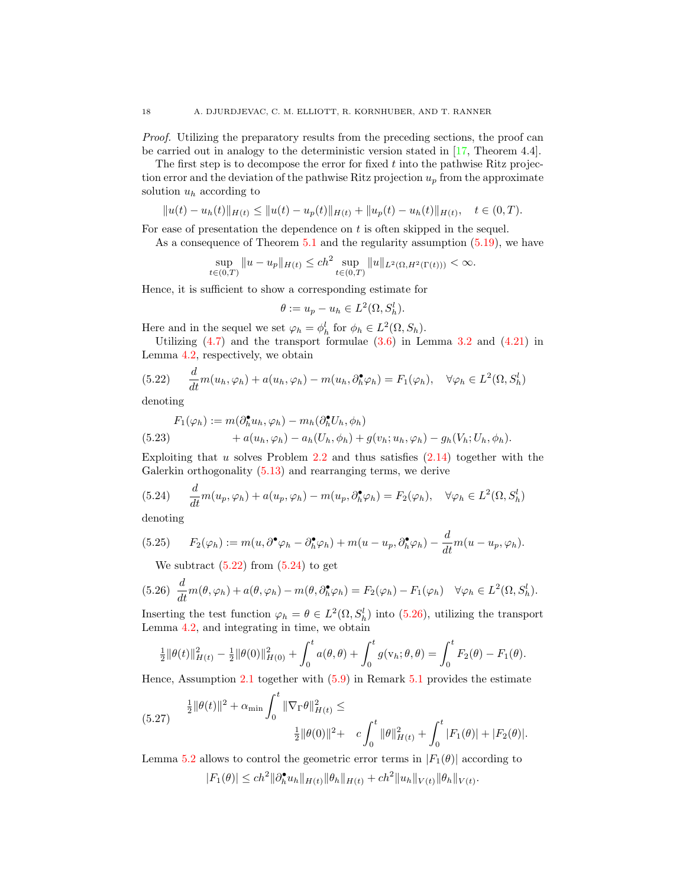Proof. Utilizing the preparatory results from the preceding sections, the proof can be carried out in analogy to the deterministic version stated in [\[17,](#page-23-4) Theorem 4.4].

The first step is to decompose the error for fixed  $t$  into the pathwise Ritz projection error and the deviation of the pathwise Ritz projection  $u_p$  from the approximate solution  $u_h$  according to

$$
||u(t) - uh(t)||_{H(t)} \le ||u(t) - up(t)||_{H(t)} + ||up(t) - uh(t)||_{H(t)}, \quad t \in (0, T).
$$

For ease of presentation the dependence on t is often skipped in the sequel.

As a consequence of Theorem [5.1](#page-15-2) and the regularity assumption [\(5.19\)](#page-16-1), we have

$$
\sup_{t \in (0,T)} \|u - u_p\|_{H(t)} \le c h^2 \sup_{t \in (0,T)} \|u\|_{L^2(\Omega, H^2(\Gamma(t)))} < \infty.
$$

Hence, it is sufficient to show a corresponding estimate for

$$
\theta := u_p - u_h \in L^2(\Omega, S_h^l).
$$

Here and in the sequel we set  $\varphi_h = \phi_h^l$  for  $\phi_h \in L^2(\Omega, S_h)$ .

Utilizing  $(4.7)$  and the transport formulae  $(3.6)$  in Lemma [3.2](#page-7-2) and  $(4.21)$  in Lemma [4.2,](#page-12-4) respectively, we obtain

<span id="page-17-0"></span>(5.22) 
$$
\frac{d}{dt}m(u_h, \varphi_h) + a(u_h, \varphi_h) - m(u_h, \partial_h^{\bullet} \varphi_h) = F_1(\varphi_h), \quad \forall \varphi_h \in L^2(\Omega, S_h^l)
$$

denoting

$$
F_1(\varphi_h) := m(\partial_h^{\bullet} u_h, \varphi_h) - m_h(\partial_h^{\bullet} U_h, \phi_h)
$$
  
(5.23) 
$$
+ a(u_h, \varphi_h) - a_h(U_h, \phi_h) + g(v_h; u_h, \varphi_h) - g_h(V_h; U_h, \phi_h).
$$

Exploiting that u solves Problem [2.2](#page-6-2) and thus satisfies  $(2.14)$  together with the Galerkin orthogonality [\(5.13\)](#page-14-2) and rearranging terms, we derive

<span id="page-17-1"></span>(5.24) 
$$
\frac{d}{dt}m(u_p, \varphi_h) + a(u_p, \varphi_h) - m(u_p, \partial_h^{\bullet} \varphi_h) = F_2(\varphi_h), \quad \forall \varphi_h \in L^2(\Omega, S_h^l)
$$

denoting

(5.25) 
$$
F_2(\varphi_h) := m(u, \partial^{\bullet} \varphi_h - \partial_h^{\bullet} \varphi_h) + m(u - u_p, \partial_h^{\bullet} \varphi_h) - \frac{d}{dt} m(u - u_p, \varphi_h).
$$

<span id="page-17-2"></span>We subtract  $(5.22)$  from  $(5.24)$  to get

$$
(5.26)\ \frac{d}{dt}m(\theta,\varphi_h)+a(\theta,\varphi_h)-m(\theta,\partial_h^{\bullet}\varphi_h)=F_2(\varphi_h)-F_1(\varphi_h)\quad\forall\varphi_h\in L^2(\Omega,S_h^l).
$$

Inserting the test function  $\varphi_h = \theta \in L^2(\Omega, S_h^l)$  into [\(5.26\)](#page-17-2), utilizing the transport Lemma [4.2,](#page-12-4) and integrating in time, we obtain

$$
\frac{1}{2} \|\theta(t)\|_{H(t)}^2 - \frac{1}{2} \|\theta(0)\|_{H(0)}^2 + \int_0^t a(\theta,\theta) + \int_0^t g(\mathbf{v}_h;\theta,\theta) = \int_0^t F_2(\theta) - F_1(\theta).
$$

Hence, Assumption [2.1](#page-4-2) together with [\(5.9\)](#page-13-2) in Remark [5.1](#page-13-3) provides the estimate

<span id="page-17-3"></span>
$$
(5.27) \quad \frac{1}{2} \|\theta(t)\|^2 + \alpha_{\min} \int_0^t \|\nabla_{\Gamma}\theta\|_{H(t)}^2 \leq \quad \frac{1}{2} \|\theta(0)\|^2 + \quad c \int_0^t \|\theta\|_{H(t)}^2 + \int_0^t |F_1(\theta)| + |F_2(\theta)|.
$$

Lemma [5.2](#page-13-4) allows to control the geometric error terms in  $|F_1(\theta)|$  according to  $|F_1(\theta)| \le ch^2 \|\partial_h^{\bullet} u_h\|_{H(t)} \|\theta_h\|_{H(t)} + ch^2 \|u_h\|_{V(t)} \|\theta_h\|_{V(t)}.$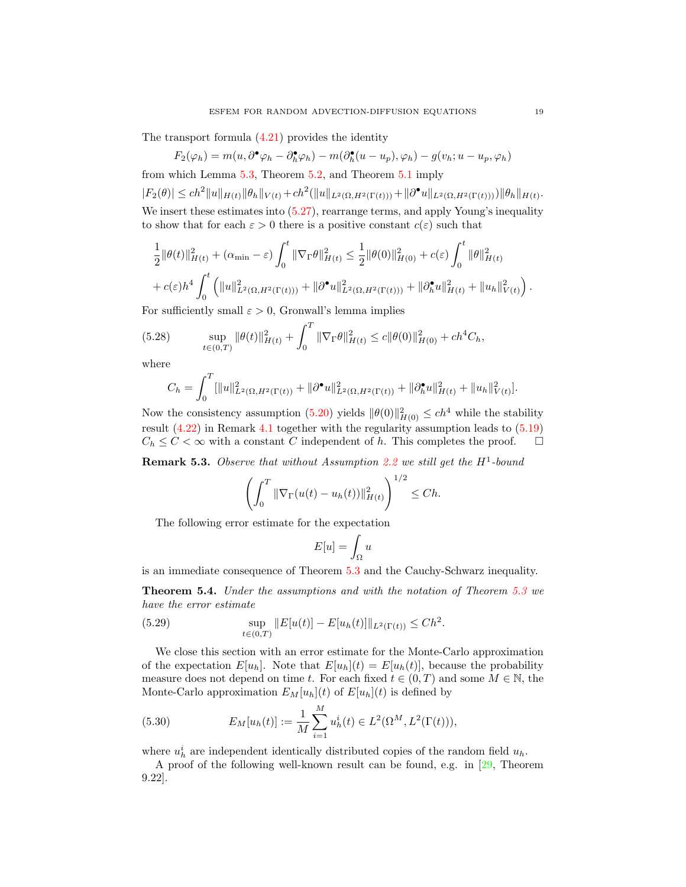The transport formula  $(4.21)$  provides the identity

$$
F_2(\varphi_h) = m(u, \partial^{\bullet} \varphi_h - \partial_h^{\bullet} \varphi_h) - m(\partial_h^{\bullet}(u - u_p), \varphi_h) - g(v_h; u - u_p, \varphi_h)
$$

from which Lemma [5.3,](#page-13-5) Theorem [5.2,](#page-16-2) and Theorem [5.1](#page-15-2) imply

 $|F_2(\theta)| \le ch^2 \|u\|_{H(t)} \|\theta_h\|_{V(t)} + ch^2(\|u\|_{L^2(\Omega, H^2(\Gamma(t)))} + \|\partial^{\bullet} u\|_{L^2(\Omega, H^2(\Gamma(t)))}) \|\theta_h\|_{H(t)}.$ We insert these estimates into  $(5.27)$ , rearrange terms, and apply Young's inequality to show that for each  $\varepsilon > 0$  there is a positive constant  $c(\varepsilon)$  such that

$$
\frac{1}{2} \|\theta(t)\|_{H(t)}^2 + (\alpha_{\min} - \varepsilon) \int_0^t \|\nabla_{\Gamma}\theta\|_{H(t)}^2 \le \frac{1}{2} \|\theta(0)\|_{H(0)}^2 + c(\varepsilon) \int_0^t \|\theta\|_{H(t)}^2
$$
  
+  $c(\varepsilon) h^4 \int_0^t \left( \|u\|_{L^2(\Omega, H^2(\Gamma(t)))}^2 + \|\partial^{\bullet} u\|_{L^2(\Omega, H^2(\Gamma(t)))}^2 + \|\partial^{\bullet} u\|_{H(t)}^2 + \|u_h\|_{V(t)}^2 \right).$ 

For sufficiently small  $\varepsilon > 0$ , Gronwall's lemma implies

(5.28) 
$$
\sup_{t \in (0,T)} \|\theta(t)\|_{H(t)}^2 + \int_0^T \|\nabla_{\Gamma}\theta\|_{H(t)}^2 \le c \|\theta(0)\|_{H(0)}^2 + ch^4 C_h,
$$

where

$$
C_h = \int_0^T [\|u\|_{L^2(\Omega, H^2(\Gamma(t))}^2 + \|\partial^\bullet u\|_{L^2(\Omega, H^2(\Gamma(t))}^2 + \|\partial_h^\bullet u\|_{H(t)}^2 + \|u_h\|_{V(t)}^2].
$$

Now the consistency assumption [\(5.20\)](#page-16-3) yields  $\|\theta(0)\|_{H(0)}^2 \le ch^4$  while the stability result [\(4.22\)](#page-12-5) in Remark [4.1](#page-12-6) together with the regularity assumption leads to [\(5.19\)](#page-16-1)  $C_h \leq C < \infty$  with a constant C independent of h. This completes the proof.  $\Box$ 

**Remark 5.3.** Observe that without Assumption [2.2](#page-5-1) we still get the  $H^1$ -bound

$$
\left(\int_0^T \|\nabla_{\Gamma}(u(t) - u_h(t))\|_{H(t)}^2\right)^{1/2} \leq Ch.
$$

The following error estimate for the expectation

$$
E[u] = \int_{\Omega} u
$$

is an immediate consequence of Theorem [5.3](#page-16-4) and the Cauchy-Schwarz inequality.

<span id="page-18-0"></span>Theorem 5.4. Under the assumptions and with the notation of Theorem [5.3](#page-16-4) we have the error estimate

(5.29) 
$$
\sup_{t \in (0,T)} ||E[u(t)] - E[u_h(t)]||_{L^2(\Gamma(t))} \leq Ch^2.
$$

We close this section with an error estimate for the Monte-Carlo approximation of the expectation  $E[u_h]$ . Note that  $E[u_h](t) = E[u_h(t)]$ , because the probability measure does not depend on time t. For each fixed  $t \in (0, T)$  and some  $M \in \mathbb{N}$ , the Monte-Carlo approximation  $E_M[u_h](t)$  of  $E[u_h](t)$  is defined by

(5.30) 
$$
E_M[u_h(t)] := \frac{1}{M} \sum_{i=1}^M u_h^i(t) \in L^2(\Omega^M, L^2(\Gamma(t))),
$$

where  $u_h^i$  are independent identically distributed copies of the random field  $u_h$ .

A proof of the following well-known result can be found, e.g. in [\[29,](#page-23-5) Theorem 9.22].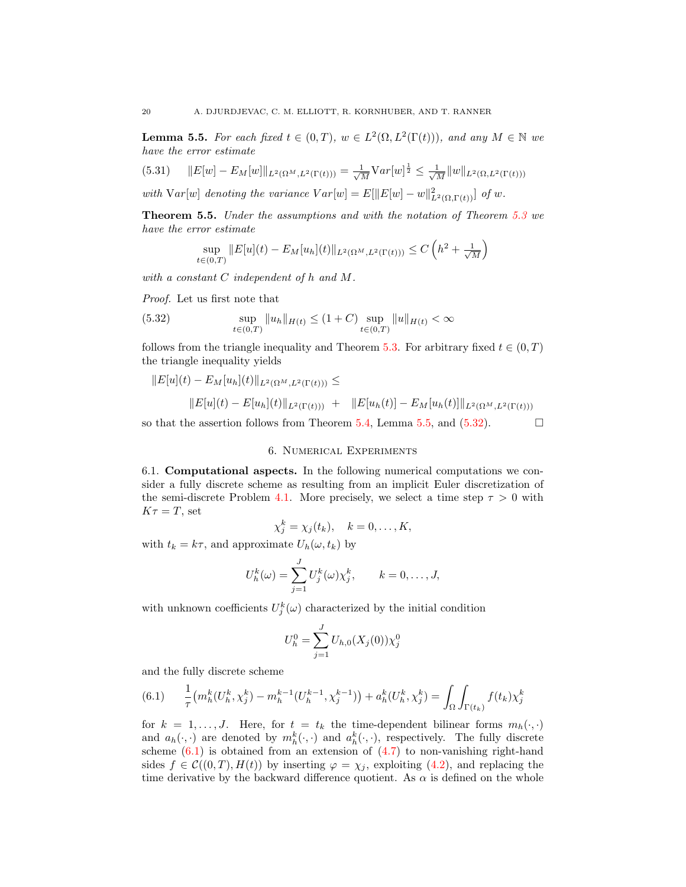<span id="page-19-0"></span>**Lemma 5.5.** For each fixed  $t \in (0,T)$ ,  $w \in L^2(\Omega, L^2(\Gamma(t)))$ , and any  $M \in \mathbb{N}$  we have the error estimate

$$
(5.31) \t\t\t||E[w] - E_M[w]||_{L^2(\Omega^M, L^2(\Gamma(t)))} = \frac{1}{\sqrt{M}} \text{Var}[w]^{\frac{1}{2}} \le \frac{1}{\sqrt{M}} ||w||_{L^2(\Omega, L^2(\Gamma(t)))}
$$

with  $Var[w]$  denoting the variance  $Var[w] = E[||E[w] - w||^2_{L^2(\Omega, \Gamma(t))}]$  of w.

<span id="page-19-3"></span>Theorem 5.5. Under the assumptions and with the notation of Theorem [5.3](#page-16-4) we have the error estimate

$$
\sup_{\in(0,T)} \|E[u](t) - E_M[u_h](t)\|_{L^2(\Omega^M, L^2(\Gamma(t)))} \le C\left(h^2 + \frac{1}{\sqrt{M}}\right)
$$

with a constant C independent of h and M.

Proof. Let us first note that

<span id="page-19-1"></span> $\bar{t}$ 

(5.32) 
$$
\sup_{t \in (0,T)} \|u_h\|_{H(t)} \le (1+C) \sup_{t \in (0,T)} \|u\|_{H(t)} < \infty
$$

follows from the triangle inequality and Theorem [5.3.](#page-16-4) For arbitrary fixed  $t \in (0, T)$ the triangle inequality yields

$$
||E[u](t) - E_M[u_h](t)||_{L^2(\Omega^M, L^2(\Gamma(t)))} \le
$$
  

$$
||E[u](t) - E[u_h](t)||_{L^2(\Gamma(t)))} + ||E[u_h(t)] - E_M[u_h(t)]||_{L^2(\Omega^M, L^2(\Gamma(t)))}
$$

so that the assertion follows from Theorem [5.4,](#page-18-0) Lemma [5.5,](#page-19-0) and  $(5.32)$ .

# 6. Numerical Experiments

6.1. Computational aspects. In the following numerical computations we consider a fully discrete scheme as resulting from an implicit Euler discretization of the semi-discrete Problem [4.1.](#page-9-1) More precisely, we select a time step  $\tau > 0$  with  $K\tau = T$ , set

$$
\chi_j^k = \chi_j(t_k), \quad k = 0, \dots, K,
$$

with  $t_k = k\tau$ , and approximate  $U_h(\omega, t_k)$  by

$$
U_h^k(\omega) = \sum_{j=1}^J U_j^k(\omega) \chi_j^k, \qquad k = 0, \dots, J,
$$

with unknown coefficients  $U_j^k(\omega)$  characterized by the initial condition

$$
U_h^0 = \sum_{j=1}^{J} U_{h,0}(X_j(0)) \chi_j^0
$$

and the fully discrete scheme

<span id="page-19-2"></span>
$$
(6.1) \qquad \frac{1}{\tau} \left( m_h^k(U_h^k, \chi_j^k) - m_h^{k-1}(U_h^{k-1}, \chi_j^{k-1}) \right) + a_h^k(U_h^k, \chi_j^k) = \int_{\Omega} \int_{\Gamma(t_k)} f(t_k) \chi_j^k
$$

for  $k = 1, ..., J$ . Here, for  $t = t_k$  the time-dependent bilinear forms  $m_h(\cdot, \cdot)$ and  $a_h(\cdot, \cdot)$  are denoted by  $m_h^k(\cdot, \cdot)$  and  $a_h^k(\cdot, \cdot)$ , respectively. The fully discrete scheme  $(6.1)$  is obtained from an extension of  $(4.7)$  to non-vanishing right-hand sides  $f \in \mathcal{C}((0,T), H(t))$  by inserting  $\varphi = \chi_j$ , exploiting [\(4.2\)](#page-8-2), and replacing the time derivative by the backward difference quotient. As  $\alpha$  is defined on the whole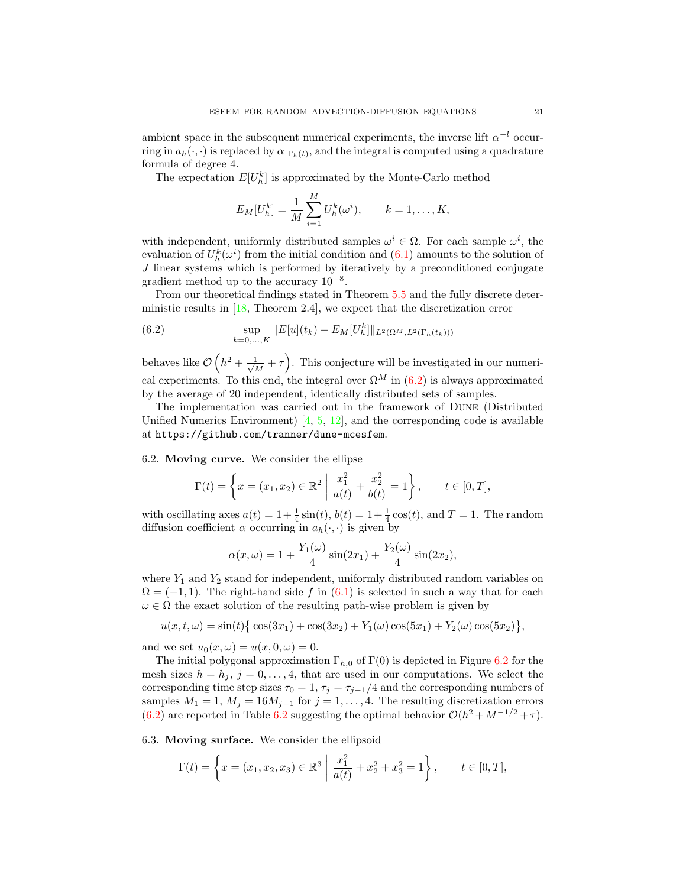ambient space in the subsequent numerical experiments, the inverse lift  $\alpha^{-l}$  occurring in  $a_h(\cdot, \cdot)$  is replaced by  $\alpha|_{\Gamma_h(t)}$ , and the integral is computed using a quadrature formula of degree 4.

The expectation  $E[U_h^k]$  is approximated by the Monte-Carlo method

$$
E_M[U_h^k] = \frac{1}{M} \sum_{i=1}^M U_h^k(\omega^i), \qquad k = 1, \dots, K,
$$

with independent, uniformly distributed samples  $\omega^i \in \Omega$ . For each sample  $\omega^i$ , the evaluation of  $U_h^k(\omega^i)$  from the initial condition and  $(6.1)$  amounts to the solution of J linear systems which is performed by iteratively by a preconditioned conjugate gradient method up to the accuracy  $10^{-8}$ .

From our theoretical findings stated in Theorem [5.5](#page-19-3) and the fully discrete deterministic results in [\[18,](#page-23-16) Theorem 2.4], we expect that the discretization error

<span id="page-20-0"></span>(6.2) 
$$
\sup_{k=0,\ldots,K}||E[u](t_k) - E_M[U_h^k]||_{L^2(\Omega^M, L^2(\Gamma_h(t_k)))}
$$

behaves like  $\mathcal{O}\left(h^2 + \frac{1}{\sqrt{2}}\right)$  $\frac{1}{\overline{M}} + \tau$ . This conjecture will be investigated in our numerical experiments. To this end, the integral over  $\Omega^M$  in [\(6.2\)](#page-20-0) is always approximated by the average of 20 independent, identically distributed sets of samples.

The implementation was carried out in the framework of Dune (Distributed Unified Numerics Environment)  $\left[4, 5, 12\right]$  $\left[4, 5, 12\right]$  $\left[4, 5, 12\right]$ , and the corresponding code is available at <https://github.com/tranner/dune-mcesfem>.

<span id="page-20-1"></span>6.2. Moving curve. We consider the ellipse

$$
\Gamma(t) = \left\{ x = (x_1, x_2) \in \mathbb{R}^2 \middle| \frac{x_1^2}{a(t)} + \frac{x_2^2}{b(t)} = 1 \right\}, \quad t \in [0, T],
$$

with oscillating axes  $a(t) = 1 + \frac{1}{4}\sin(t)$ ,  $b(t) = 1 + \frac{1}{4}\cos(t)$ , and  $T = 1$ . The random diffusion coefficient  $\alpha$  occurring in  $a_h(\cdot, \cdot)$  is given by

$$
\alpha(x,\omega) = 1 + \frac{Y_1(\omega)}{4}\sin(2x_1) + \frac{Y_2(\omega)}{4}\sin(2x_2),
$$

where  $Y_1$  and  $Y_2$  stand for independent, uniformly distributed random variables on  $\Omega = (-1, 1)$ . The right-hand side f in [\(6.1\)](#page-19-2) is selected in such a way that for each  $\omega \in \Omega$  the exact solution of the resulting path-wise problem is given by

$$
u(x,t,\omega) = \sin(t)\left\{\cos(3x_1) + \cos(3x_2) + Y_1(\omega)\cos(5x_1) + Y_2(\omega)\cos(5x_2)\right\},\,
$$

and we set  $u_0(x, \omega) = u(x, 0, \omega) = 0$ .

The initial polygonal approximation  $\Gamma_{h,0}$  of  $\Gamma(0)$  is depicted in Figure [6.2](#page-20-1) for the mesh sizes  $h = h_j$ ,  $j = 0, \ldots, 4$ , that are used in our computations. We select the corresponding time step sizes  $\tau_0 = 1$ ,  $\tau_j = \tau_{j-1}/4$  and the corresponding numbers of samples  $M_1 = 1, M_j = 16M_{j-1}$  for  $j = 1, ..., 4$ . The resulting discretization errors [\(6.2\)](#page-20-0) are reported in Table [6.2](#page-21-0) suggesting the optimal behavior  $\mathcal{O}(h^2 + M^{-1/2} + \tau)$ .

<span id="page-20-2"></span>6.3. Moving surface. We consider the ellipsoid

$$
\Gamma(t) = \left\{ x = (x_1, x_2, x_3) \in \mathbb{R}^3 \mid \frac{x_1^2}{a(t)} + x_2^2 + x_3^2 = 1 \right\}, \qquad t \in [0, T],
$$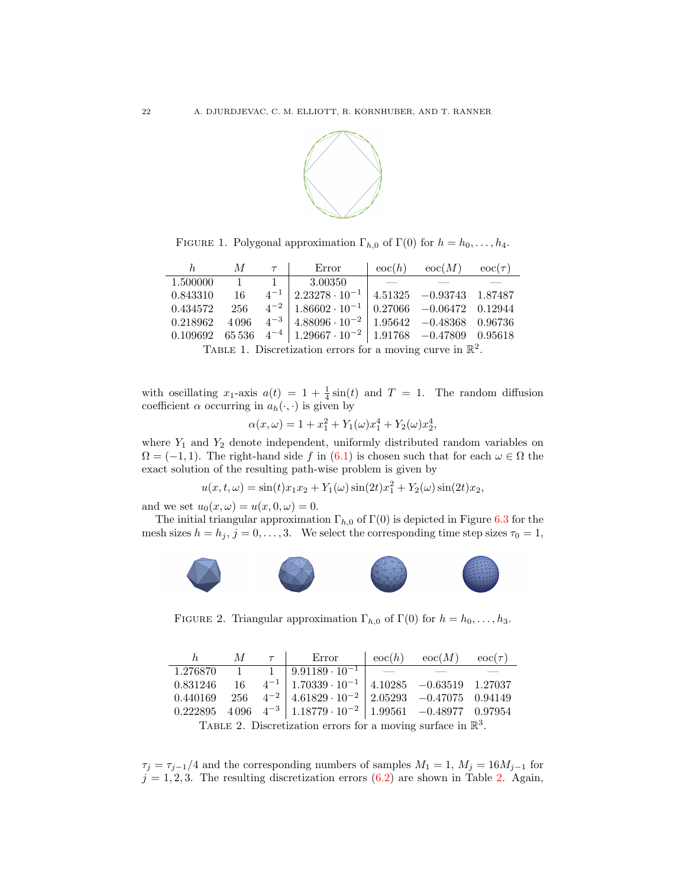

<span id="page-21-0"></span>FIGURE 1. Polygonal approximation  $\Gamma_{h,0}$  of  $\Gamma(0)$  for  $h = h_0, \ldots, h_4$ .

|                                                                                                                           |  |  | h $M$ $\tau$   Error                                                                  |  | $\cos(h)$ $\sec(M)$ $\sec(\tau)$ |  |  |  |  |
|---------------------------------------------------------------------------------------------------------------------------|--|--|---------------------------------------------------------------------------------------|--|----------------------------------|--|--|--|--|
|                                                                                                                           |  |  | $1.500000 \qquad 1 \qquad 1 \qquad 3.00350$                                           |  |                                  |  |  |  |  |
|                                                                                                                           |  |  | $0.843310$ $16$ $4^{-1}$ $2.23278 \cdot 10^{-1}$ $4.51325$ $-0.93743$ $1.87487$       |  |                                  |  |  |  |  |
|                                                                                                                           |  |  | $0.434572$ $256$ $4^{-2}$ $1.86602 \cdot 10^{-1}$ $0.27066$ $-0.06472$ $0.12944$      |  |                                  |  |  |  |  |
|                                                                                                                           |  |  | $0.218962$ $4096$ $4^{-3}$ $4.88096 \cdot 10^{-2}$ $1.95642$ $-0.48368$ $0.96736$     |  |                                  |  |  |  |  |
|                                                                                                                           |  |  | $0.109692$ 65 536 4 <sup>-4</sup> 1.29667 · 10 <sup>-2</sup> 1.91768 -0.47809 0.95618 |  |                                  |  |  |  |  |
| $\pi_{i}$ and $\pi_{i}$ and $\pi_{i}$ and $\pi_{i}$ and $\pi_{i}$ and $\pi_{i}$ and $\pi_{i}$ and $\pi_{i}$ and $\pi_{i}$ |  |  |                                                                                       |  |                                  |  |  |  |  |

TABLE 1. Discretization errors for a moving curve in  $\mathbb{R}^2$ .

with oscillating  $x_1$ -axis  $a(t) = 1 + \frac{1}{4}\sin(t)$  and  $T = 1$ . The random diffusion coefficient  $\alpha$  occurring in  $a_h(\cdot, \cdot)$  is given by

$$
\alpha(x,\omega) = 1 + x_1^2 + Y_1(\omega)x_1^4 + Y_2(\omega)x_2^4,
$$

where  $Y_1$  and  $Y_2$  denote independent, uniformly distributed random variables on  $\Omega = (-1, 1)$ . The right-hand side f in [\(6.1\)](#page-19-2) is chosen such that for each  $\omega \in \Omega$  the exact solution of the resulting path-wise problem is given by

$$
u(x, t, \omega) = \sin(t)x_1x_2 + Y_1(\omega)\sin(2t)x_1^2 + Y_2(\omega)\sin(2t)x_2,
$$

and we set  $u_0(x, \omega) = u(x, 0, \omega) = 0$ .

The initial triangular approximation  $\Gamma_{h,0}$  of  $\Gamma(0)$  is depicted in Figure [6.3](#page-20-2) for the mesh sizes  $h = h_j$ ,  $j = 0, ..., 3$ . We select the corresponding time step sizes  $\tau_0 = 1$ ,



FIGURE 2. Triangular approximation  $\Gamma_{h,0}$  of  $\Gamma(0)$  for  $h = h_0, \ldots, h_3$ .

<span id="page-21-1"></span>

| h                                                                       |  |  | $M \quad \tau \quad   \quad \text{Error}$                                                                                   |  | $\cos(h)$ $\sec(M)$ $\sec(\tau)$ |  |  |  |
|-------------------------------------------------------------------------|--|--|-----------------------------------------------------------------------------------------------------------------------------|--|----------------------------------|--|--|--|
|                                                                         |  |  | $1.276870 \qquad 1 \qquad 1 \qquad 9.91189 \cdot 10^{-1}$                                                                   |  |                                  |  |  |  |
|                                                                         |  |  | $0.831246 \qquad 16 \qquad 4^{-1} \left  \right. 1.70339 \cdot 10^{-1} \left  \right. 4.10285 \quad -0.63519 \quad 1.27037$ |  |                                  |  |  |  |
|                                                                         |  |  | $0.440169$ $256$ $4^{-2}$ $4.61829 \cdot 10^{-2}$ $2.05293$ $-0.47075$ $0.94149$                                            |  |                                  |  |  |  |
|                                                                         |  |  | $0.222895$ $4.096$ $4^{-3}$ $1.18779 \cdot 10^{-2}$ $1.99561$ $-0.48977$ $0.97954$                                          |  |                                  |  |  |  |
| TABLE 2. Discretization errors for a moving surface in $\mathbb{R}^3$ . |  |  |                                                                                                                             |  |                                  |  |  |  |

 $\tau_j = \tau_{j-1}/4$  and the corresponding numbers of samples  $M_1 = 1$ ,  $M_j = 16M_{j-1}$  for  $j = 1, 2, 3$ . The resulting discretization errors  $(6.2)$  are shown in Table [2.](#page-21-1) Again,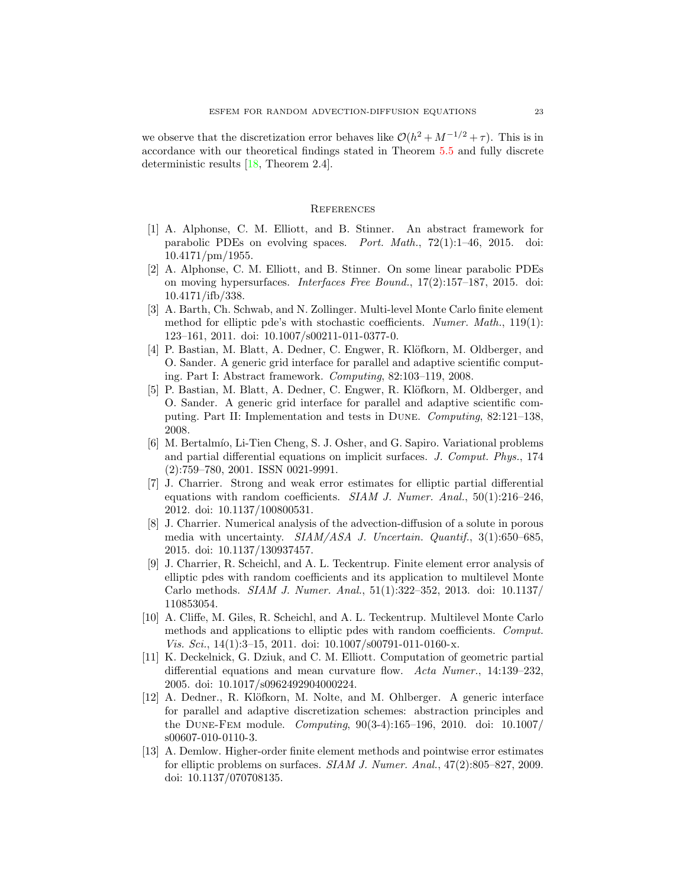we observe that the discretization error behaves like  $\mathcal{O}(h^2 + M^{-1/2} + \tau)$ . This is in accordance with our theoretical findings stated in Theorem [5.5](#page-19-3) and fully discrete deterministic results [\[18,](#page-23-16) Theorem 2.4].

### **REFERENCES**

- <span id="page-22-1"></span>[1] A. Alphonse, C. M. Elliott, and B. Stinner. An abstract framework for parabolic PDEs on evolving spaces. Port. Math., 72(1):1–46, 2015. doi:  $10.4171/pm/1955.$
- <span id="page-22-2"></span>[2] A. Alphonse, C. M. Elliott, and B. Stinner. On some linear parabolic PDEs on moving hypersurfaces. Interfaces Free Bound., 17(2):157–187, 2015. doi: 10.4171/ifb/338.
- <span id="page-22-5"></span>[3] A. Barth, Ch. Schwab, and N. Zollinger. Multi-level Monte Carlo finite element method for elliptic pde's with stochastic coefficients. Numer. Math., 119(1): 123–161, 2011. doi: 10.1007/s00211-011-0377-0.
- <span id="page-22-10"></span>[4] P. Bastian, M. Blatt, A. Dedner, C. Engwer, R. Klöfkorn, M. Oldberger, and O. Sander. A generic grid interface for parallel and adaptive scientific computing. Part I: Abstract framework. Computing, 82:103–119, 2008.
- <span id="page-22-11"></span>[5] P. Bastian, M. Blatt, A. Dedner, C. Engwer, R. Klöfkorn, M. Oldberger, and O. Sander. A generic grid interface for parallel and adaptive scientific computing. Part II: Implementation and tests in Dune. Computing, 82:121–138, 2008.
- <span id="page-22-0"></span>[6] M. Bertalmío, Li-Tien Cheng, S. J. Osher, and G. Sapiro. Variational problems and partial differential equations on implicit surfaces. J. Comput. Phys., 174 (2):759–780, 2001. ISSN 0021-9991.
- <span id="page-22-9"></span>[7] J. Charrier. Strong and weak error estimates for elliptic partial differential equations with random coefficients. SIAM J. Numer. Anal., 50(1):216-246, 2012. doi: 10.1137/100800531.
- <span id="page-22-3"></span>[8] J. Charrier. Numerical analysis of the advection-diffusion of a solute in porous media with uncertainty.  $SIAM/ASA$  J. Uncertain. Quantif., 3(1):650–685, 2015. doi: 10.1137/130937457.
- <span id="page-22-6"></span>[9] J. Charrier, R. Scheichl, and A. L. Teckentrup. Finite element error analysis of elliptic pdes with random coefficients and its application to multilevel Monte Carlo methods. SIAM J. Numer. Anal., 51(1):322–352, 2013. doi: 10.1137/ 110853054.
- <span id="page-22-7"></span>[10] A. Cliffe, M. Giles, R. Scheichl, and A. L. Teckentrup. Multilevel Monte Carlo methods and applications to elliptic pdes with random coefficients. Comput. Vis. Sci.,  $14(1):3-15$ , 2011. doi:  $10.1007/s00791-011-0160-x$ .
- <span id="page-22-8"></span>[11] K. Deckelnick, G. Dziuk, and C. M. Elliott. Computation of geometric partial differential equations and mean curvature flow. Acta Numer., 14:139–232, 2005. doi: 10.1017/s0962492904000224.
- <span id="page-22-12"></span>[12] A. Dedner., R. Klöfkorn, M. Nolte, and M. Ohlberger. A generic interface for parallel and adaptive discretization schemes: abstraction principles and the Dune-Fem module. Computing, 90(3-4):165–196, 2010. doi: 10.1007/ s00607-010-0110-3.
- <span id="page-22-4"></span>[13] A. Demlow. Higher-order finite element methods and pointwise error estimates for elliptic problems on surfaces. SIAM J. Numer. Anal., 47(2):805–827, 2009. doi: 10.1137/070708135.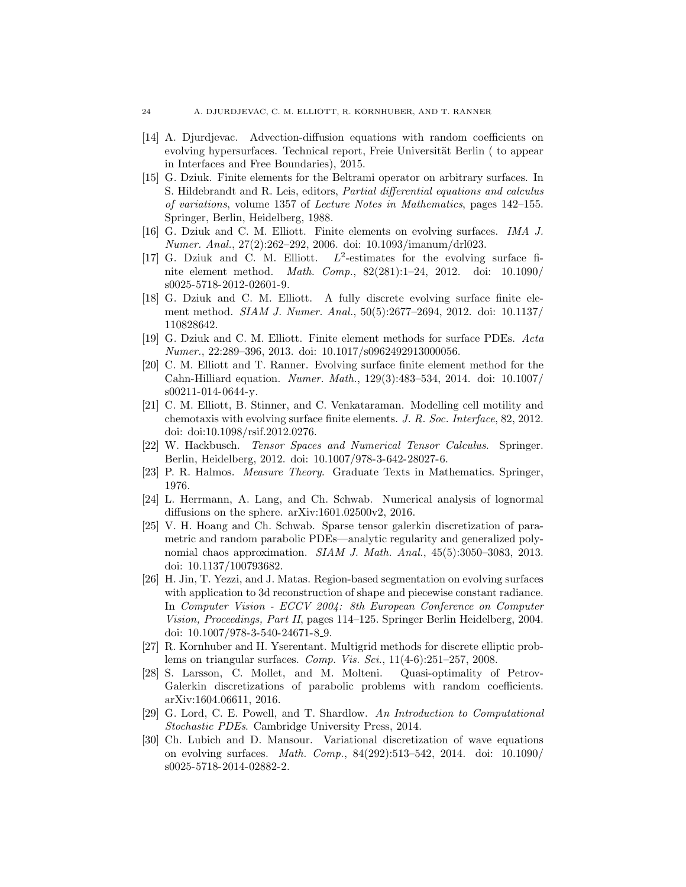- <span id="page-23-8"></span>[14] A. Djurdjevac. Advection-diffusion equations with random coefficients on evolving hypersurfaces. Technical report, Freie Universität Berlin ( to appear in Interfaces and Free Boundaries), 2015.
- <span id="page-23-2"></span>[15] G. Dziuk. Finite elements for the Beltrami operator on arbitrary surfaces. In S. Hildebrandt and R. Leis, editors, Partial differential equations and calculus of variations, volume 1357 of Lecture Notes in Mathematics, pages 142–155. Springer, Berlin, Heidelberg, 1988.
- <span id="page-23-3"></span>[16] G. Dziuk and C. M. Elliott. Finite elements on evolving surfaces. IMA J. Numer. Anal., 27(2):262–292, 2006. doi: 10.1093/imanum/drl023.
- <span id="page-23-4"></span>[17] G. Dziuk and C. M. Elliott. 2 -estimates for the evolving surface finite element method. Math. Comp., 82(281):1–24, 2012. doi: 10.1090/ s0025-5718-2012-02601-9.
- <span id="page-23-16"></span>[18] G. Dziuk and C. M. Elliott. A fully discrete evolving surface finite element method. SIAM J. Numer. Anal., 50(5):2677–2694, 2012. doi: 10.1137/ 110828642.
- <span id="page-23-11"></span>[19] G. Dziuk and C. M. Elliott. Finite element methods for surface PDEs. Acta Numer., 22:289–396, 2013. doi: 10.1017/s0962492913000056.
- <span id="page-23-13"></span>[20] C. M. Elliott and T. Ranner. Evolving surface finite element method for the Cahn-Hilliard equation. Numer. Math., 129(3):483–534, 2014. doi: 10.1007/ s00211-014-0644-y.
- <span id="page-23-1"></span>[21] C. M. Elliott, B. Stinner, and C. Venkataraman. Modelling cell motility and chemotaxis with evolving surface finite elements. J. R. Soc. Interface, 82, 2012. doi: doi:10.1098/rsif.2012.0276.
- <span id="page-23-12"></span>[22] W. Hackbusch. Tensor Spaces and Numerical Tensor Calculus. Springer. Berlin, Heidelberg, 2012. doi: 10.1007/978-3-642-28027-6.
- <span id="page-23-10"></span>[23] P. R. Halmos. Measure Theory. Graduate Texts in Mathematics. Springer, 1976.
- <span id="page-23-15"></span>[24] L. Herrmann, A. Lang, and Ch. Schwab. Numerical analysis of lognormal diffusions on the sphere. arXiv:1601.02500v2, 2016.
- <span id="page-23-6"></span>[25] V. H. Hoang and Ch. Schwab. Sparse tensor galerkin discretization of parametric and random parabolic PDEs—analytic regularity and generalized polynomial chaos approximation. *SIAM J. Math. Anal.*, 45(5):3050–3083, 2013. doi: 10.1137/100793682.
- <span id="page-23-0"></span>[26] H. Jin, T. Yezzi, and J. Matas. Region-based segmentation on evolving surfaces with application to 3d reconstruction of shape and piecewise constant radiance. In Computer Vision - ECCV 2004: 8th European Conference on Computer Vision, Proceedings, Part II, pages 114–125. Springer Berlin Heidelberg, 2004. doi: 10.1007/978-3-540-24671-8 9.
- <span id="page-23-9"></span>[27] R. Kornhuber and H. Yserentant. Multigrid methods for discrete elliptic problems on triangular surfaces. Comp. Vis. Sci., 11(4-6):251–257, 2008.
- <span id="page-23-7"></span>[28] S. Larsson, C. Mollet, and M. Molteni. Quasi-optimality of Petrov-Galerkin discretizations of parabolic problems with random coefficients. arXiv:1604.06611, 2016.
- <span id="page-23-5"></span>[29] G. Lord, C. E. Powell, and T. Shardlow. An Introduction to Computational Stochastic PDEs. Cambridge University Press, 2014.
- <span id="page-23-14"></span>[30] Ch. Lubich and D. Mansour. Variational discretization of wave equations on evolving surfaces. Math. Comp., 84(292):513–542, 2014. doi: 10.1090/ s0025-5718-2014-02882-2.